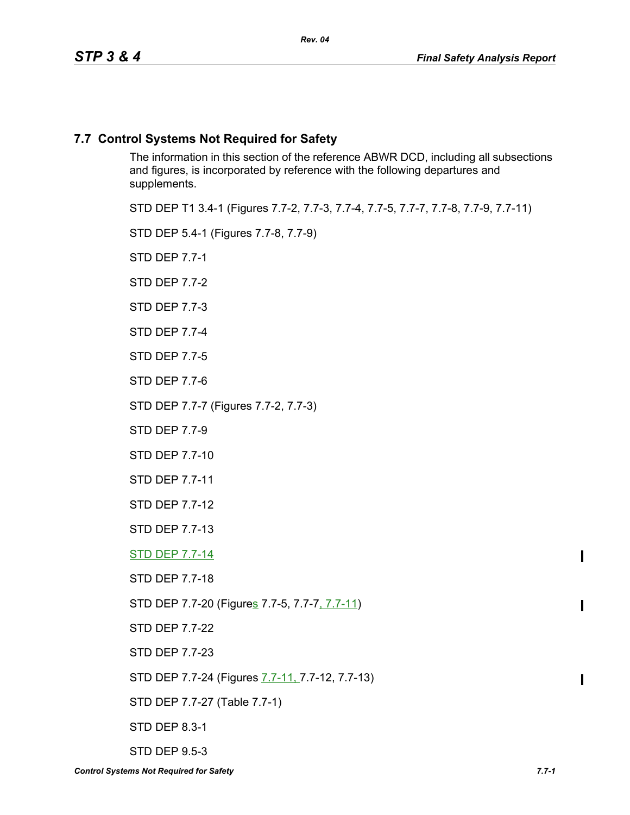# **7.7 Control Systems Not Required for Safety**

The information in this section of the reference ABWR DCD, including all subsections and figures, is incorporated by reference with the following departures and supplements.

STD DEP T1 3.4-1 (Figures 7.7-2, 7.7-3, 7.7-4, 7.7-5, 7.7-7, 7.7-8, 7.7-9, 7.7-11)

STD DEP 5.4-1 (Figures 7.7-8, 7.7-9)

STD DEP 7.7-1

STD DEP 7.7-2

STD DEP 7.7-3

STD DEP 7.7-4

STD DEP 7.7-5

STD DEP 7.7-6

STD DEP 7.7-7 (Figures 7.7-2, 7.7-3)

STD DEP 7.7-9

STD DEP 7.7-10

STD DEP 7.7-11

STD DEP 7.7-12

STD DEP 7.7-13

STD DEP 7.7-14

STD DEP 7.7-18

STD DEP 7.7-20 (Figures 7.7-5, 7.7-7, 7.7-11)

STD DEP 7.7-22

STD DEP 7.7-23

STD DEP 7.7-24 (Figures 7.7-11, 7.7-12, 7.7-13)

STD DEP 7.7-27 (Table 7.7-1)

STD DEP 8.3-1

STD DEP 9.5-3

 $\blacksquare$ 

ı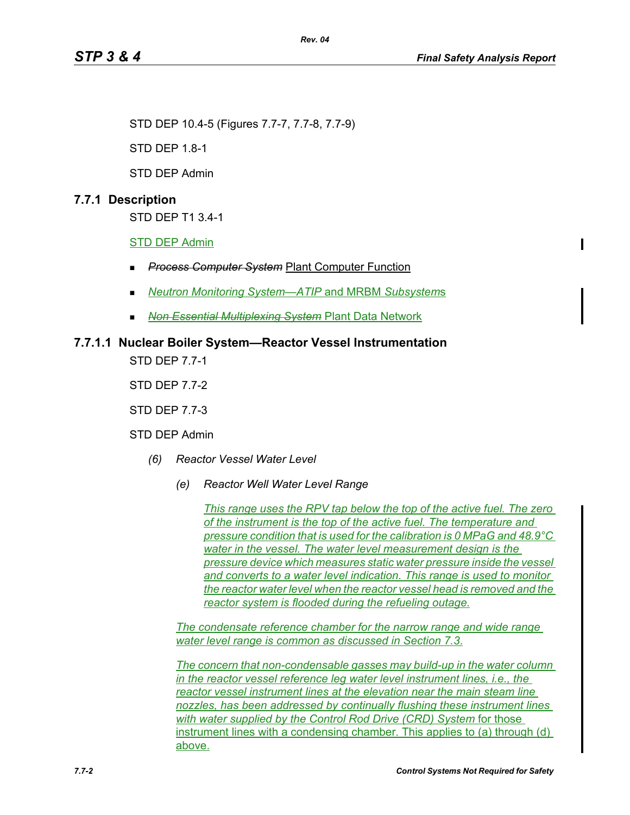STD DEP 10.4-5 (Figures 7.7-7, 7.7-8, 7.7-9)

STD DEP 1.8-1

STD DEP Admin

# **7.7.1 Description**

STD DEP T1 3.4-1

STD DEP Admin

- *Process Computer System* Plant Computer Function
- *Neutron Monitoring System—ATIP* and MRBM *Subsystem*s

*Rev. 04*

*Non Essential Multiplexing System* Plant Data Network

# **7.7.1.1 Nuclear Boiler System—Reactor Vessel Instrumentation**

STD DEP 7.7-1

STD DEP 7.7-2

STD DEP 7.7-3

STD DEP Admin

- *(6) Reactor Vessel Water Level*
	- *(e) Reactor Well Water Level Range*

*This range uses the RPV tap below the top of the active fuel. The zero of the instrument is the top of the active fuel. The temperature and pressure condition that is used for the calibration is 0 MPaG and 48.9°C water in the vessel. The water level measurement design is the pressure device which measures static water pressure inside the vessel and converts to a water level indication. This range is used to monitor the reactor water level when the reactor vessel head is removed and the reactor system is flooded during the refueling outage.*

*The condensate reference chamber for the narrow range and wide range water level range is common as discussed in Section 7.3*.

*The concern that non-condensable gasses may build-up in the water column in the reactor vessel reference leg water level instrument lines, i.e., the reactor vessel instrument lines at the elevation near the main steam line nozzles, has been addressed by continually flushing these instrument lines with water supplied by the Control Rod Drive (CRD) System* for those instrument lines with a condensing chamber. This applies to (a) through (d) above.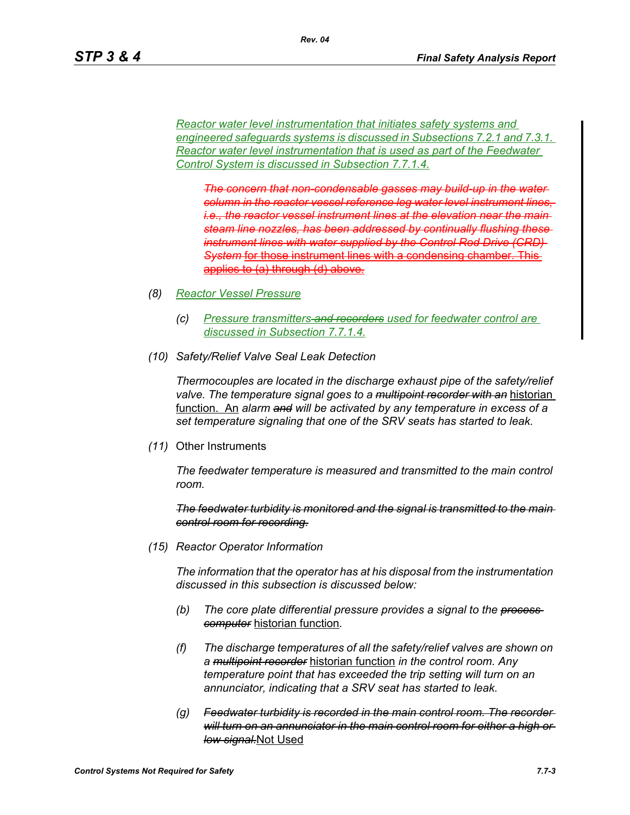*Reactor water level instrumentation that initiates safety systems and engineered safeguards systems is discussed in Subsections 7.2.1 and 7.3.1. Reactor water level instrumentation that is used as part of the Feedwater Control System is discussed in Subsection 7.7.1.4.*

*The concern that non-condensable gasses may build-up in the water column in the reactor vessel reference leg water level instrument lin i.e., the reactor vessel instrument lines at the elevation near the main*  **steam line nozzles, has been addressed by continually flushing the** *instrument lines with water supplied by the Control Rod Drive (CRD)*  **System for those instrument lines with a condensing chamber.** applies to (a) through (d) above*.*

- *(8) Reactor Vessel Pressure*
	- *(c) Pressure transmitters and recorders used for feedwater control are discussed in Subsection 7.7.1.4.*
- *(10) Safety/Relief Valve Seal Leak Detection*

*Thermocouples are located in the discharge exhaust pipe of the safety/relief valve. The temperature signal goes to a multipoint recorder with an* historian function. An *alarm and will be activated by any temperature in excess of a set temperature signaling that one of the SRV seats has started to leak.*

*(11)* Other Instruments

*The feedwater temperature is measured and transmitted to the main control room.*

*The feedwater turbidity is monitored and the signal is transmitted to the main control room for recording.*

*(15) Reactor Operator Information*

*The information that the operator has at his disposal from the instrumentation discussed in this subsection is discussed below:*

- *(b) The core plate differential pressure provides a signal to the process computer* historian function*.*
- *(f) The discharge temperatures of all the safety/relief valves are shown on a multipoint recorder* historian function *in the control room. Any temperature point that has exceeded the trip setting will turn on an annunciator, indicating that a SRV seat has started to leak.*
- *(g) Feedwater turbidity is recorded in the main control room. The recorder will turn on an annunciator in the main control room for either a high or low signal.*Not Used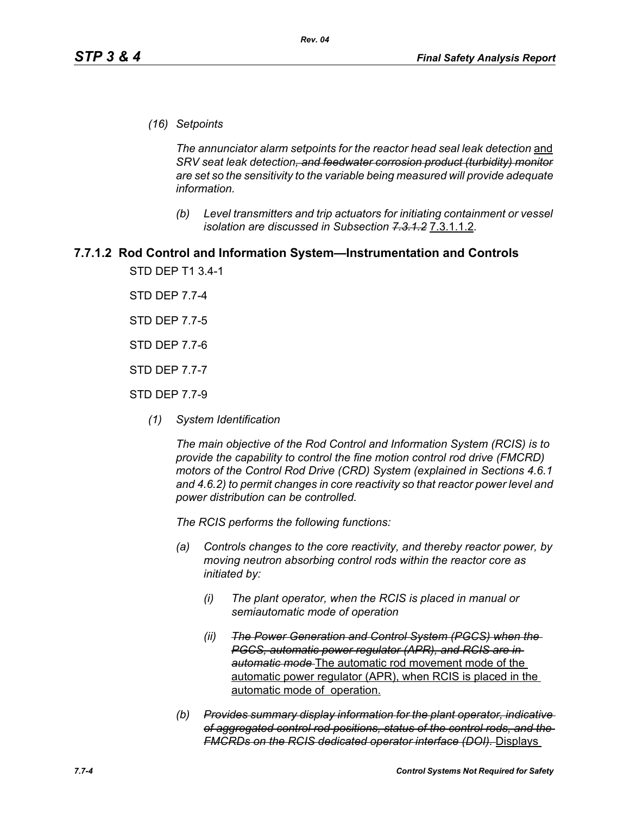*(16) Setpoints*

*The annunciator alarm setpoints for the reactor head seal leak detection* and *SRV seat leak detection, and feedwater corrosion product (turbidity) monitor are set so the sensitivity to the variable being measured will provide adequate information.*

*(b) Level transmitters and trip actuators for initiating containment or vessel isolation are discussed in Subsection 7.3.1.2* 7.3.1.1.2*.*

## **7.7.1.2 Rod Control and Information System—Instrumentation and Controls**

STD DEP T1 3.4-1

STD DEP 7.7-4

STD DEP 7.7-5

STD DEP 7.7-6

STD DEP 7.7-7

- STD DEP 7.7-9
	- *(1) System Identification*

*The main objective of the Rod Control and Information System (RCIS) is to provide the capability to control the fine motion control rod drive (FMCRD) motors of the Control Rod Drive (CRD) System (explained in Sections 4.6.1 and 4.6.2) to permit changes in core reactivity so that reactor power level and power distribution can be controlled.* 

*The RCIS performs the following functions:*

- *(a) Controls changes to the core reactivity, and thereby reactor power, by moving neutron absorbing control rods within the reactor core as initiated by:*
	- *(i) The plant operator, when the RCIS is placed in manual or semiautomatic mode of operation*
	- *(ii) The Power Generation and Control System (PGCS) when the PGCS, automatic power regulator (APR), and RCIS are in automatic mode* The automatic rod movement mode of the automatic power regulator (APR), when RCIS is placed in the automatic mode of operation.
- *(b) Provides summary display information for the plant operator, indicative of aggregated control rod positions, status of the control rods, and the FMCRDs on the RCIS dedicated operator interface (DOI).* Displays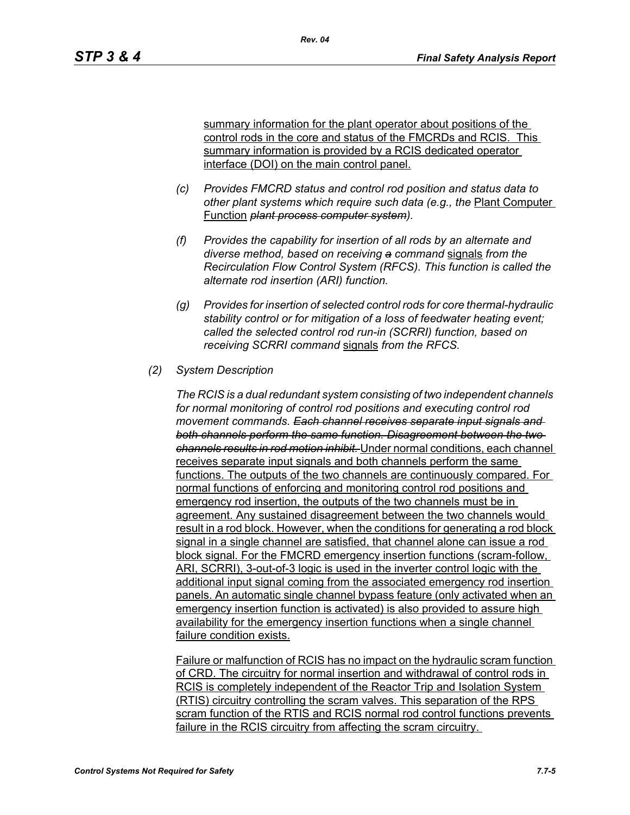summary information for the plant operator about positions of the control rods in the core and status of the FMCRDs and RCIS. This summary information is provided by a RCIS dedicated operator interface (DOI) on the main control panel.

- *(c) Provides FMCRD status and control rod position and status data to other plant systems which require such data (e.g., the* Plant Computer Function *plant process computer system).*
- *(f) Provides the capability for insertion of all rods by an alternate and diverse method, based on receiving a command* signals *from the Recirculation Flow Control System (RFCS). This function is called the alternate rod insertion (ARI) function.*
- *(g) Provides for insertion of selected control rods for core thermal-hydraulic stability control or for mitigation of a loss of feedwater heating event; called the selected control rod run-in (SCRRI) function, based on receiving SCRRI command* signals *from the RFCS.*

### *(2) System Description*

*The RCIS is a dual redundant system consisting of two independent channels for normal monitoring of control rod positions and executing control rod movement commands. Each channel receives separate input signals and both channels perform the same function. Disagreement between the two channels results in rod motion inhibit.* Under normal conditions, each channel receives separate input signals and both channels perform the same functions. The outputs of the two channels are continuously compared. For normal functions of enforcing and monitoring control rod positions and emergency rod insertion, the outputs of the two channels must be in agreement. Any sustained disagreement between the two channels would result in a rod block. However, when the conditions for generating a rod block signal in a single channel are satisfied, that channel alone can issue a rod block signal. For the FMCRD emergency insertion functions (scram-follow, ARI, SCRRI), 3-out-of-3 logic is used in the inverter control logic with the additional input signal coming from the associated emergency rod insertion panels. An automatic single channel bypass feature (only activated when an emergency insertion function is activated) is also provided to assure high availability for the emergency insertion functions when a single channel failure condition exists.

Failure or malfunction of RCIS has no impact on the hydraulic scram function of CRD. The circuitry for normal insertion and withdrawal of control rods in RCIS is completely independent of the Reactor Trip and Isolation System (RTIS) circuitry controlling the scram valves. This separation of the RPS scram function of the RTIS and RCIS normal rod control functions prevents failure in the RCIS circuitry from affecting the scram circuitry.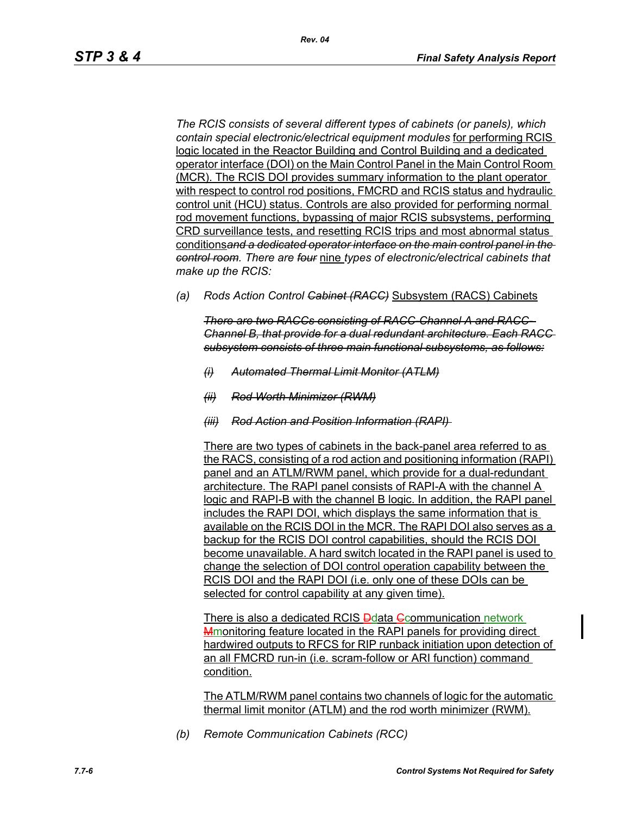*The RCIS consists of several different types of cabinets (or panels), which contain special electronic/electrical equipment modules* for performing RCIS logic located in the Reactor Building and Control Building and a dedicated operator interface (DOI) on the Main Control Panel in the Main Control Room (MCR). The RCIS DOI provides summary information to the plant operator with respect to control rod positions, FMCRD and RCIS status and hydraulic control unit (HCU) status. Controls are also provided for performing normal rod movement functions, bypassing of major RCIS subsystems, performing CRD surveillance tests, and resetting RCIS trips and most abnormal status conditions*and a dedicated operator interface on the main control panel in the control room. There are four* nine *types of electronic/electrical cabinets that make up the RCIS:*

*(a) Rods Action Control Cabinet (RACC)* Subsystem (RACS) Cabinets

*There are two RACCs consisting of RACC-Channel A and RACC-Channel B, that provide for a dual redundant architecture. Each RACC subsystem consists of three main functional subsystems, as follows:*

- *(i) Automated Thermal Limit Monitor (ATLM)*
- *(ii) Rod Worth Minimizer (RWM)*
- *(iii) Rod Action and Position Information (RAPI)*

There are two types of cabinets in the back-panel area referred to as the RACS, consisting of a rod action and positioning information (RAPI) panel and an ATLM/RWM panel, which provide for a dual-redundant architecture. The RAPI panel consists of RAPI-A with the channel A logic and RAPI-B with the channel B logic. In addition, the RAPI panel includes the RAPI DOI, which displays the same information that is available on the RCIS DOI in the MCR. The RAPI DOI also serves as a backup for the RCIS DOI control capabilities, should the RCIS DOI become unavailable. A hard switch located in the RAPI panel is used to change the selection of DOI control operation capability between the RCIS DOI and the RAPI DOI (i.e. only one of these DOIs can be selected for control capability at any given time).

There is also a dedicated RCIS Ddata Communication network **Mmonitoring feature located in the RAPI panels for providing direct** hardwired outputs to RFCS for RIP runback initiation upon detection of an all FMCRD run-in (i.e. scram-follow or ARI function) command condition.

The ATLM/RWM panel contains two channels of logic for the automatic thermal limit monitor (ATLM) and the rod worth minimizer (RWM).

*(b) Remote Communication Cabinets (RCC)*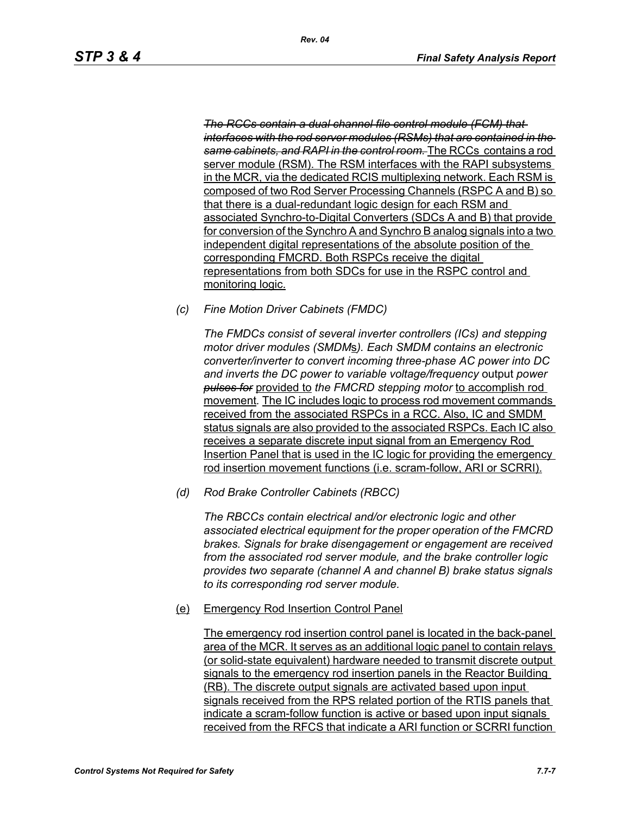*The RCCs contain a dual channel file control module (FCM) that interfaces with the rod server modules (RSMs) that are contained in the same cabinets, and RAPI in the control room.* The RCCs contains a rod server module (RSM). The RSM interfaces with the RAPI subsystems in the MCR, via the dedicated RCIS multiplexing network. Each RSM is composed of two Rod Server Processing Channels (RSPC A and B) so that there is a dual-redundant logic design for each RSM and associated Synchro-to-Digital Converters (SDCs A and B) that provide for conversion of the Synchro A and Synchro B analog signals into a two independent digital representations of the absolute position of the corresponding FMCRD. Both RSPCs receive the digital representations from both SDCs for use in the RSPC control and monitoring logic.

*(c) Fine Motion Driver Cabinets (FMDC)* 

*The FMDCs consist of several inverter controllers (ICs) and stepping motor driver modules (SMDM*s*). Each SMDM contains an electronic converter/inverter to convert incoming three-phase AC power into DC and inverts the DC power to variable voltage/frequency* output *power pulses for* provided to *the FMCRD stepping motor* to accomplish rod movement*.* The IC includes logic to process rod movement commands received from the associated RSPCs in a RCC. Also, IC and SMDM status signals are also provided to the associated RSPCs. Each IC also receives a separate discrete input signal from an Emergency Rod Insertion Panel that is used in the IC logic for providing the emergency rod insertion movement functions (i.e. scram-follow, ARI or SCRRI).

*(d) Rod Brake Controller Cabinets (RBCC)*

*The RBCCs contain electrical and/or electronic logic and other associated electrical equipment for the proper operation of the FMCRD brakes. Signals for brake disengagement or engagement are received from the associated rod server module, and the brake controller logic provides two separate (channel A and channel B) brake status signals to its corresponding rod server module.*

(e) Emergency Rod Insertion Control Panel

The emergency rod insertion control panel is located in the back-panel area of the MCR. It serves as an additional logic panel to contain relays (or solid-state equivalent) hardware needed to transmit discrete output signals to the emergency rod insertion panels in the Reactor Building (RB). The discrete output signals are activated based upon input signals received from the RPS related portion of the RTIS panels that indicate a scram-follow function is active or based upon input signals received from the RFCS that indicate a ARI function or SCRRI function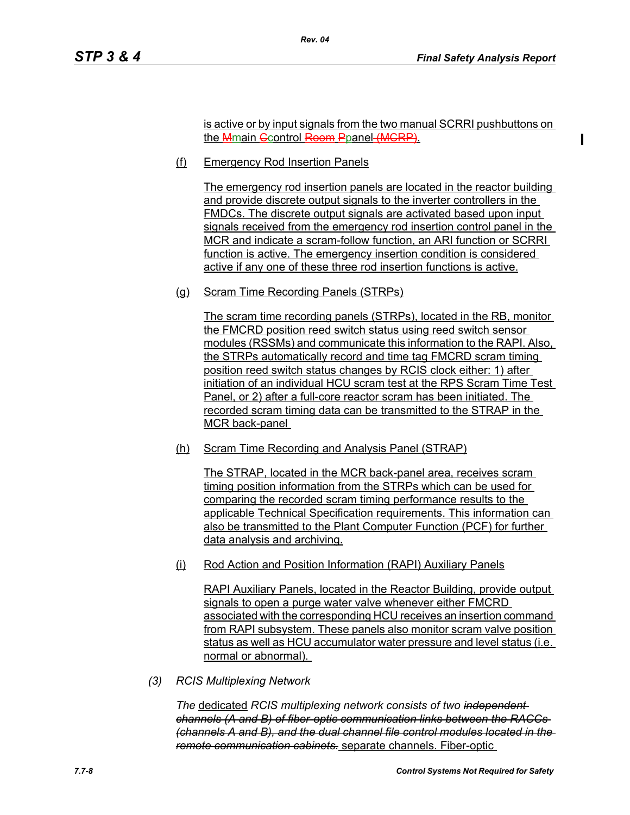is active or by input signals from the two manual SCRRI pushbuttons on the Mmain Ccontrol Room Ppanel (MCRP).

(f) Emergency Rod Insertion Panels

*Rev. 04*

The emergency rod insertion panels are located in the reactor building and provide discrete output signals to the inverter controllers in the FMDCs. The discrete output signals are activated based upon input signals received from the emergency rod insertion control panel in the MCR and indicate a scram-follow function, an ARI function or SCRRI function is active. The emergency insertion condition is considered active if any one of these three rod insertion functions is active.

(g) Scram Time Recording Panels (STRPs)

The scram time recording panels (STRPs), located in the RB, monitor the FMCRD position reed switch status using reed switch sensor modules (RSSMs) and communicate this information to the RAPI. Also, the STRPs automatically record and time tag FMCRD scram timing position reed switch status changes by RCIS clock either: 1) after initiation of an individual HCU scram test at the RPS Scram Time Test Panel, or 2) after a full-core reactor scram has been initiated. The recorded scram timing data can be transmitted to the STRAP in the MCR back-panel

(h) Scram Time Recording and Analysis Panel (STRAP)

The STRAP, located in the MCR back-panel area, receives scram timing position information from the STRPs which can be used for comparing the recorded scram timing performance results to the applicable Technical Specification requirements. This information can also be transmitted to the Plant Computer Function (PCF) for further data analysis and archiving.

(i) Rod Action and Position Information (RAPI) Auxiliary Panels

RAPI Auxiliary Panels, located in the Reactor Building, provide output signals to open a purge water valve whenever either FMCRD associated with the corresponding HCU receives an insertion command from RAPI subsystem. These panels also monitor scram valve position status as well as HCU accumulator water pressure and level status (i.e. normal or abnormal).

*(3) RCIS Multiplexing Network*

*The* dedicated *RCIS multiplexing network consists of two independent channels (A and B) of fiber-optic communication links between the RACCs (channels A and B), and the dual channel file control modules located in the remote communication cabinets.* separate channels. Fiber-optic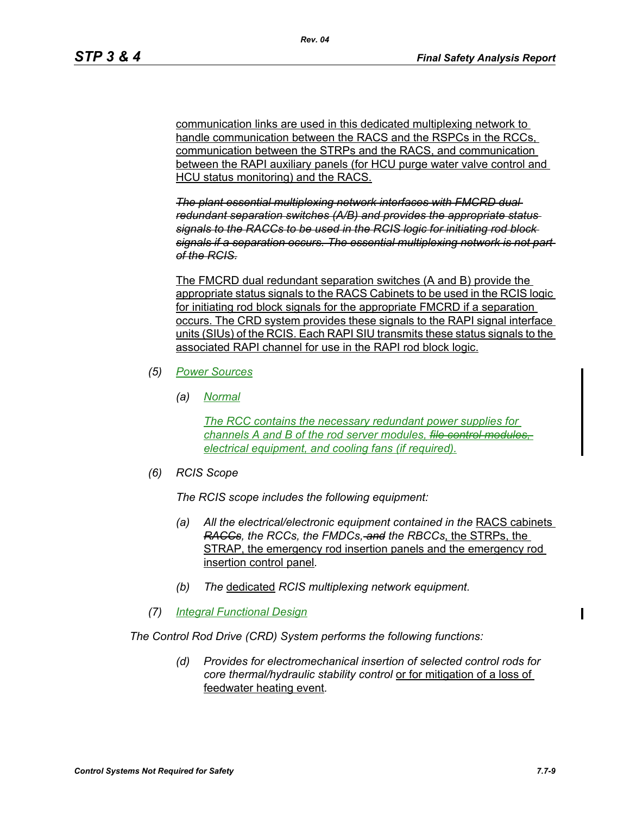communication links are used in this dedicated multiplexing network to handle communication between the RACS and the RSPCs in the RCCs, communication between the STRPs and the RACS, and communication between the RAPI auxiliary panels (for HCU purge water valve control and HCU status monitoring) and the RACS.

*The plant essential multiplexing network interfaces with FMCRD dual redundant separation switches (A/B) and provides the appropriate status signals to the RACCs to be used in the RCIS logic for initiating rod block signals if a separation occurs. The essential multiplexing network is not part of the RCIS.*

The FMCRD dual redundant separation switches (A and B) provide the appropriate status signals to the RACS Cabinets to be used in the RCIS logic for initiating rod block signals for the appropriate FMCRD if a separation occurs. The CRD system provides these signals to the RAPI signal interface units (SIUs) of the RCIS. Each RAPI SIU transmits these status signals to the associated RAPI channel for use in the RAPI rod block logic.

- *(5) Power Sources*
	- *(a) Normal*

*The RCC contains the necessary redundant power supplies for channels A and B of the rod server modules, file control modules, electrical equipment, and cooling fans (if required).*

*(6) RCIS Scope*

*The RCIS scope includes the following equipment:*

- *(a)* All the electrical/electronic equipment contained in the RACS cabinets *RACCs, the RCCs, the FMDCs, and the RBCCs*, the STRPs, the STRAP, the emergency rod insertion panels and the emergency rod insertion control panel*.*
- *(b) The* dedicated *RCIS multiplexing network equipment.*
- *(7) Integral Functional Design*

*The Control Rod Drive (CRD) System performs the following functions:*

*(d) Provides for electromechanical insertion of selected control rods for core thermal/hydraulic stability control* or for mitigation of a loss of feedwater heating event*.*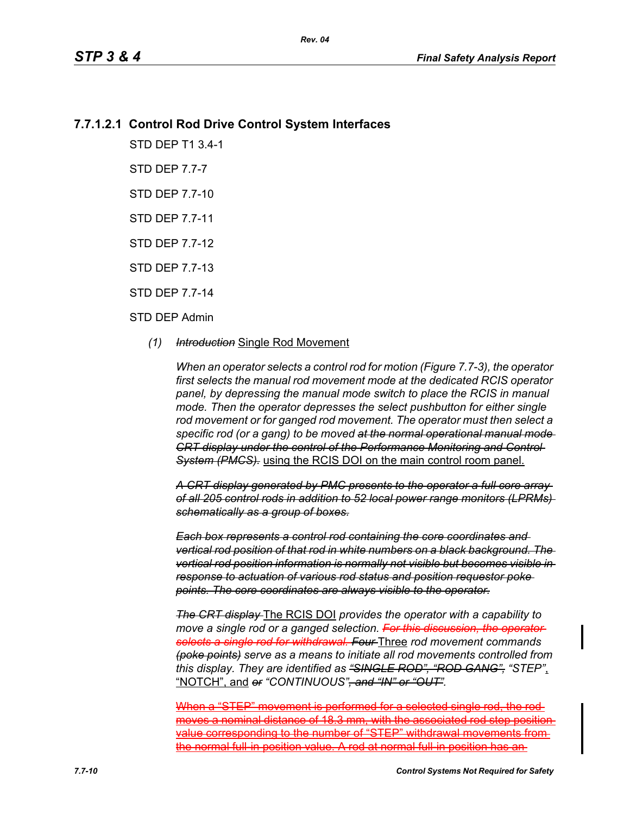# **7.7.1.2.1 Control Rod Drive Control System Interfaces**

STD DEP T1 3.4-1

STD DEP 7.7-7

STD DEP 7.7-10

STD DEP 7.7-11

STD DEP 7.7-12

STD DEP 7.7-13

STD DEP 7.7-14

### STD DEP Admin

*(1) Introduction* Single Rod Movement

*When an operator selects a control rod for motion (Figure 7.7-3), the operator first selects the manual rod movement mode at the dedicated RCIS operator panel, by depressing the manual mode switch to place the RCIS in manual mode. Then the operator depresses the select pushbutton for either single rod movement or for ganged rod movement. The operator must then select a specific rod (or a gang) to be moved at the normal operational manual mode CRT display under the control of the Performance Monitoring and Control System (PMCS).* using the RCIS DOI on the main control room panel.

*A CRT display generated by PMC presents to the operator a full core array of all 205 control rods in addition to 52 local power range monitors (LPRMs) schematically as a group of boxes.*

*Each box represents a control rod containing the core coordinates and vertical rod position of that rod in white numbers on a black background. The vertical rod position information is normally not visible but becomes visible in response to actuation of various rod status and position requestor poke points. The core coordinates are always visible to the operator.*

*The CRT display* The RCIS DOI *provides the operator with a capability to move a single rod or a ganged selection. For this discussion, the operator selects a single rod for withdrawal. Four* Three *rod movement commands (poke points) serve as a means to initiate all rod movements controlled from this display. They are identified as "SINGLE ROD", "ROD GANG", "STEP"*, "NOTCH", and *or "CONTINUOUS", and "IN" or "OUT".*

When a "STEP" movement is performed for a selected single rod, the rodmoves a nominal distance of 18.3 mm, with the associated rod step position value corresponding to the number of "STEP" withdrawal movements from the normal full-in position value. A rod at normal full-in position has an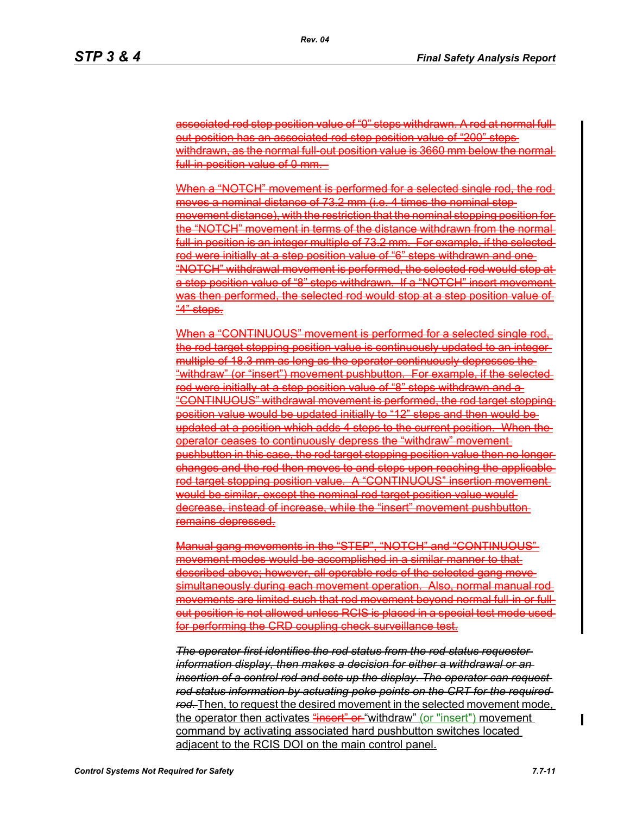associated rod step position value of "0" steps withdrawn. A rod at normal fullout position has an associated rod step position value of "200" steps withdrawn, as the normal full-out position value is 3660 mm below the normal full in position value of 0 mm.

When a "NOTCH" movement is performed for a selected single rod, the rodmoves a nominal distance of 73.2 mm (i.e. 4 times the nominal step movement distance), with the restriction that the nominal stopping position for the "NOTCH" movement in terms of the distance withdrawn from the norm full-in position is an integer multiple of 73.2 mm. For example, if the selectedrod were initially at a step position value of "6" steps withdrawn and one "NOTCH" withdrawal movement is performed, the selected rod would stop at a step position value of "8" steps withdrawn. If a "NOTCH" insert movement was then performed, the selected rod would stop at a step position value of "4" steps.

When a "CONTINUOUS" movement is performed for a selected single rodthe rod target stopping position value is continuously updated to an integer multiple of 18.3 mm as long as the operator continuously depresses the "withdraw" (or "insert") movement pushbutton. For example, if the selected rod were initially at a step position value of "8" steps withdrawn and a "CONTINUOUS" withdrawal movement is performed, the rod target stopping position value would be updated initially to "12" steps and then would be updated at a position which adds 4 steps to the current position. When the operator ceases to continuously depress the "withdraw" movement pushbutton in this case, the rod target stopping position value then no longer changes and the rod then moves to and stops upon reaching the applicable rod target stopping position value. A "CONTINUOUS" insertion movement would be similar, except the nominal rod target position value would decrease, instead of increase, while the "insert" movement pushbutton remains depressed.

Manual gang movements in the "STEP", "NOTCH" and "CONTINUOUS" movement modes would be accomplished in a similar manner to that described above; however, all operable rods of the selected gang move simultaneously during each movement operation. Also, normal manual rod movements are limited such that rod movement beyond normal full-in or fullout position is not allowed unless RCIS is placed in a special test mode used for performing the CRD coupling check surveillance test.

*The operator first identifies the rod status from the rod status requestor information display, then makes a decision for either a withdrawal or an insertion of a control rod and sets up the display. The operator can request rod status information by actuating poke points on the CRT for the required rod.* Then, to request the desired movement in the selected movement mode, the operator then activates "insert" or "withdraw" (or "insert") movement command by activating associated hard pushbutton switches located adjacent to the RCIS DOI on the main control panel.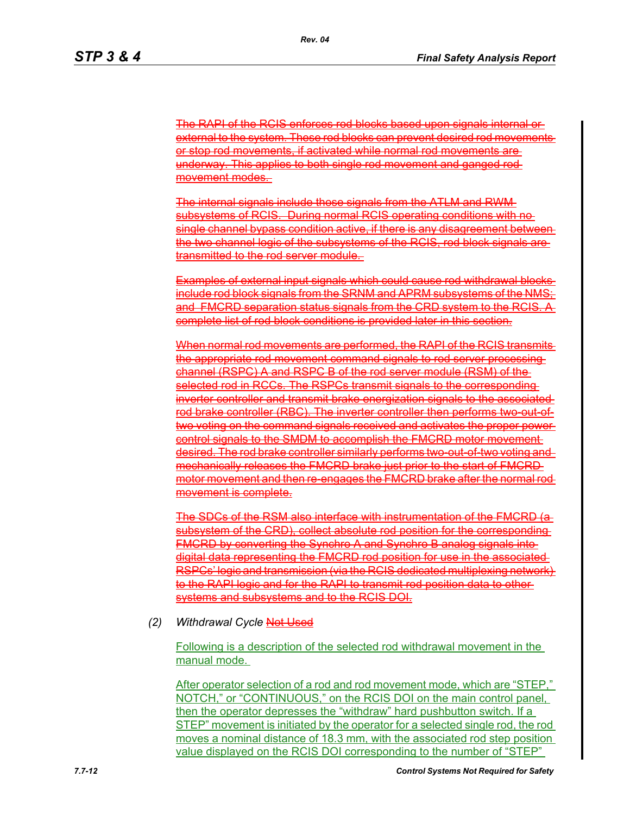The RAPI of the RCIS enforces rod blocks based upon signals internal or external to the system. These rod blocks can prevent desired rod movements or stop rod movements, if activated while normal rod movements are underway. This applies to both single rod movement and ganged rod movement modes.

The internal signals include those signals from the ATLM and RWM subsystems of RCIS. During normal RCIS operating conditions with no single channel bypass condition active, if there is any disagreement the two channel logic of the subsystems of the RCIS, rod block signals are transmitted to the rod server module.

Examples of external input signals which could cause rod withdrawal blocks include rod block signals from the SRNM and APRM subsystems of the NI and FMCRD separation status signals from the CRD system to the RCIS. A complete list of rod block conditions is provided later in this section.

When normal rod movements are performed, the RAPI of the RCIS transmits the appropriate rod movement command signals to rod server processing channel (RSPC) A and RSPC B of the rod server module (RSM) of the selected rod in RCCs. The RSPCs transmit signals to the corresponding inverter controller and transmit brake energization signals to the associated rod brake controller (RBC). The inverter controller then performs two-out-oftwo voting on the command signals received and activates the proper power control signals to the SMDM to accomplish the FMCRD motor movement desired. The rod brake controller similarly performs two-out-of-two voting and mechanically releases the FMCRD brake just prior to the start of FMCRD motor movement and then re-engages the FMCRD brake after the normal re movement is complete.

The SDCs of the RSM also interface with instrumentation of the FMCRD subsystem of the CRD), collect absolute rod position for the corresponding  $A\overline{\textsf{CRD}}$  by converting the Synchro A and Synchro B analog signals digital data representing the FMCRD rod position for use in the associated RSPCs' logic and transmission (via the RCIS dedicated multiplexing network to the RAPI logic and for the RAPI to transmit rod position data to other systems and subsystems and to the RCIS DOI.

### *(2) Withdrawal Cycle* Not Used

Following is a description of the selected rod withdrawal movement in the manual mode.

After operator selection of a rod and rod movement mode, which are "STEP," NOTCH," or "CONTINUOUS," on the RCIS DOI on the main control panel, then the operator depresses the "withdraw" hard pushbutton switch. If a STEP" movement is initiated by the operator for a selected single rod, the rod moves a nominal distance of 18.3 mm, with the associated rod step position value displayed on the RCIS DOI corresponding to the number of "STEP"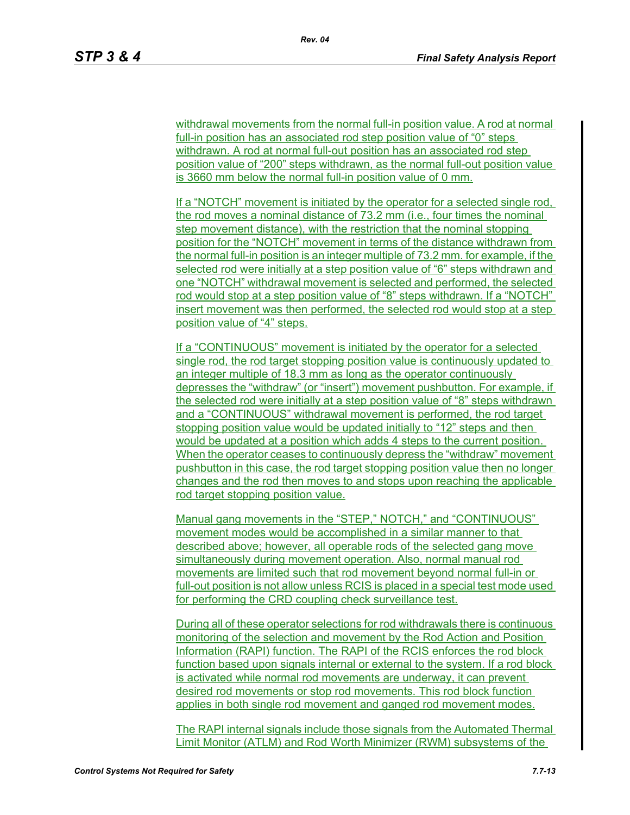withdrawal movements from the normal full-in position value. A rod at normal full-in position has an associated rod step position value of "0" steps withdrawn. A rod at normal full-out position has an associated rod step position value of "200" steps withdrawn, as the normal full-out position value is 3660 mm below the normal full-in position value of 0 mm.

If a "NOTCH" movement is initiated by the operator for a selected single rod, the rod moves a nominal distance of 73.2 mm (i.e., four times the nominal step movement distance), with the restriction that the nominal stopping position for the "NOTCH" movement in terms of the distance withdrawn from the normal full-in position is an integer multiple of 73.2 mm. for example, if the selected rod were initially at a step position value of "6" steps withdrawn and one "NOTCH" withdrawal movement is selected and performed, the selected rod would stop at a step position value of "8" steps withdrawn. If a "NOTCH" insert movement was then performed, the selected rod would stop at a step position value of "4" steps.

If a "CONTINUOUS" movement is initiated by the operator for a selected single rod, the rod target stopping position value is continuously updated to an integer multiple of 18.3 mm as long as the operator continuously depresses the "withdraw" (or "insert") movement pushbutton. For example, if the selected rod were initially at a step position value of "8" steps withdrawn and a "CONTINUOUS" withdrawal movement is performed, the rod target stopping position value would be updated initially to "12" steps and then would be updated at a position which adds 4 steps to the current position. When the operator ceases to continuously depress the "withdraw" movement pushbutton in this case, the rod target stopping position value then no longer changes and the rod then moves to and stops upon reaching the applicable rod target stopping position value.

Manual gang movements in the "STEP," NOTCH," and "CONTINUOUS" movement modes would be accomplished in a similar manner to that described above; however, all operable rods of the selected gang move simultaneously during movement operation. Also, normal manual rod movements are limited such that rod movement beyond normal full-in or full-out position is not allow unless RCIS is placed in a special test mode used for performing the CRD coupling check surveillance test.

During all of these operator selections for rod withdrawals there is continuous monitoring of the selection and movement by the Rod Action and Position Information (RAPI) function. The RAPI of the RCIS enforces the rod block function based upon signals internal or external to the system. If a rod block is activated while normal rod movements are underway, it can prevent desired rod movements or stop rod movements. This rod block function applies in both single rod movement and ganged rod movement modes.

The RAPI internal signals include those signals from the Automated Thermal Limit Monitor (ATLM) and Rod Worth Minimizer (RWM) subsystems of the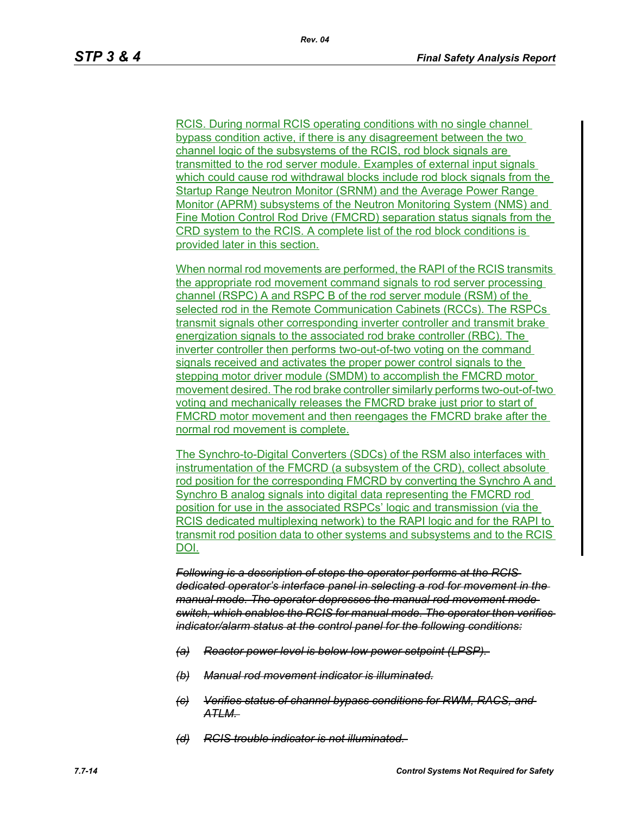RCIS. During normal RCIS operating conditions with no single channel bypass condition active, if there is any disagreement between the two channel logic of the subsystems of the RCIS, rod block signals are transmitted to the rod server module. Examples of external input signals which could cause rod withdrawal blocks include rod block signals from the Startup Range Neutron Monitor (SRNM) and the Average Power Range Monitor (APRM) subsystems of the Neutron Monitoring System (NMS) and Fine Motion Control Rod Drive (FMCRD) separation status signals from the CRD system to the RCIS. A complete list of the rod block conditions is provided later in this section.

When normal rod movements are performed, the RAPI of the RCIS transmits the appropriate rod movement command signals to rod server processing channel (RSPC) A and RSPC B of the rod server module (RSM) of the selected rod in the Remote Communication Cabinets (RCCs). The RSPCs transmit signals other corresponding inverter controller and transmit brake energization signals to the associated rod brake controller (RBC). The inverter controller then performs two-out-of-two voting on the command signals received and activates the proper power control signals to the stepping motor driver module (SMDM) to accomplish the FMCRD motor movement desired. The rod brake controller similarly performs two-out-of-two voting and mechanically releases the FMCRD brake just prior to start of FMCRD motor movement and then reengages the FMCRD brake after the normal rod movement is complete.

The Synchro-to-Digital Converters (SDCs) of the RSM also interfaces with instrumentation of the FMCRD (a subsystem of the CRD), collect absolute rod position for the corresponding FMCRD by converting the Synchro A and Synchro B analog signals into digital data representing the FMCRD rod position for use in the associated RSPCs' logic and transmission (via the RCIS dedicated multiplexing network) to the RAPI logic and for the RAPI to transmit rod position data to other systems and subsystems and to the RCIS DOI.

*Following is a description of steps the operator performs at the RCIS dedicated operator's interface panel in selecting a rod for movement in the manual mode. The operator depresses the manual rod movement mode switch, which enables the RCIS for manual mode. The operator then verifies indicator/alarm status at the control panel for the following conditions:*

- *(a) Reactor power level is below low power setpoint (LPSP).*
- *(b) Manual rod movement indicator is illuminated.*
- *(c) Verifies status of channel bypass conditions for RWM, RACS, and ATLM.*
- *(d) RCIS trouble indicator is not illuminated.*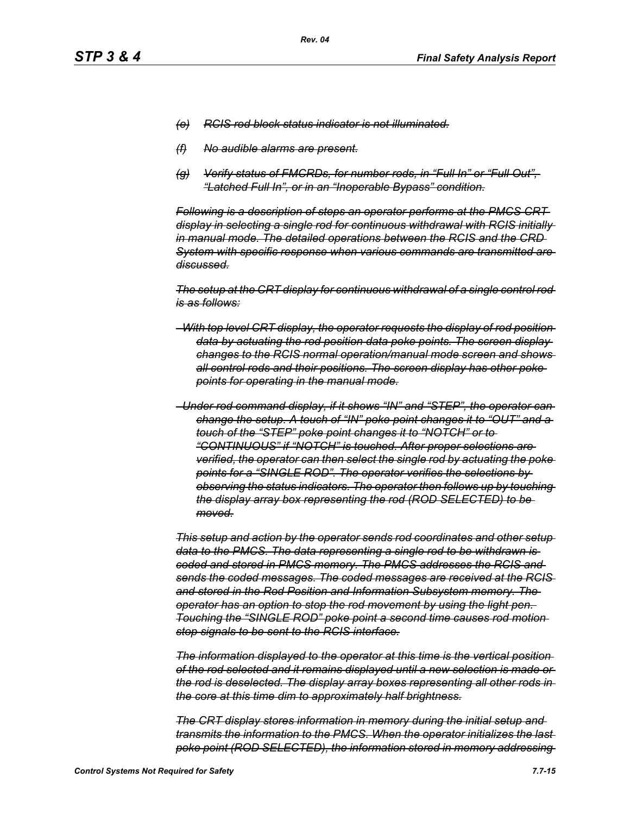- *(e) RCIS rod block status indicator is not illuminated.*
- *(f) No audible alarms are present.*
- *(g) Verify status of FMCRDs, for number rods, in "Full In" or "Full Out", "Latched Full In", or in an "Inoperable Bypass" condition.*

*Following is a description of steps an operator performs at the PMCS CRT display in selecting a single rod for continuous withdrawal with RCIS initially in manual mode. The detailed operations between the RCIS and the CRD System with specific response when various commands are transmitted are discussed.*

*The setup at the CRT display for continuous withdrawal of a single control rod is as follows:*

- *–With top level CRT display, the operator requests the display of rod position data by actuating the rod position data poke points. The screen display changes to the RCIS normal operation/manual mode screen and shows all control rods and their positions. The screen display has other poke points for operating in the manual mode.*
- *–Under rod command display, if it shows "IN" and "STEP", the operator can change the setup. A touch of "IN" poke point changes it to "OUT" and a touch of the "STEP" poke point changes it to "NOTCH" or to "CONTINUOUS" if "NOTCH" is touched. After proper selections are verified, the operator can then select the single rod by actuating the poke points for a "SINGLE ROD". The operator verifies the selections by observing the status indicators. The operator then follows up by touching the display array box representing the rod (ROD SELECTED) to be moved.*

*This setup and action by the operator sends rod coordinates and other setup data to the PMCS. The data representing a single rod to be withdrawn is coded and stored in PMCS memory. The PMCS addresses the RCIS and sends the coded messages. The coded messages are received at the RCIS and stored in the Rod Position and Information Subsystem memory. The operator has an option to stop the rod movement by using the light pen. Touching the "SINGLE ROD" poke point a second time causes rod motion stop signals to be sent to the RCIS interface.*

*The information displayed to the operator at this time is the vertical position of the rod selected and it remains displayed until a new selection is made or the rod is deselected. The display array boxes representing all other rods in the core at this time dim to approximately half brightness.*

*The CRT display stores information in memory during the initial setup and transmits the information to the PMCS. When the operator initializes the last poke point (ROD SELECTED), the information stored in memory addressing*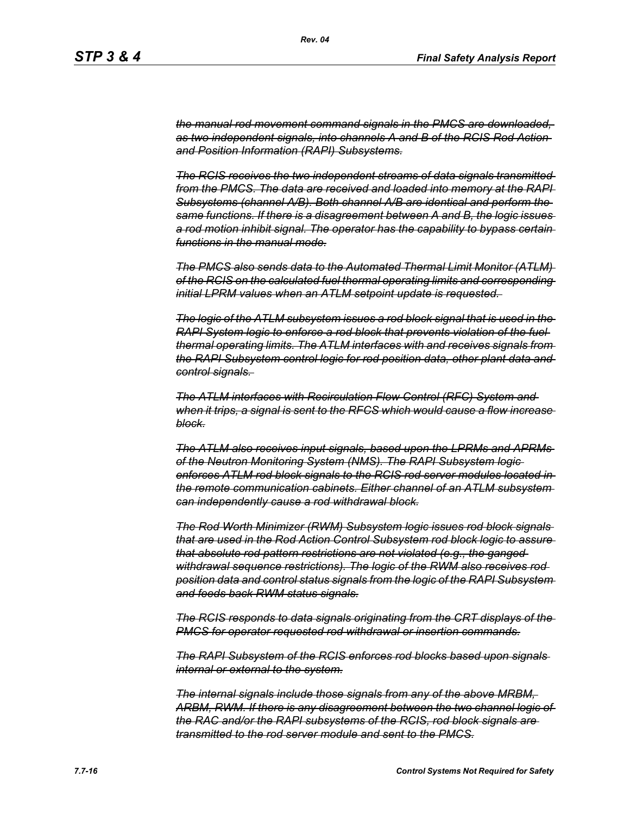*the manual rod movement command signals in the PMCS are downloaded, as two independent signals, into channels A and B of the RCIS Rod Action and Position Information (RAPI) Subsystems.*

*The RCIS receives the two independent streams of data signals transmitted from the PMCS. The data are received and loaded into memory at the RAPI Subsystems (channel A/B). Both channel A/B are identical and perform the same functions. If there is a disagreement between A and B, the logic issues a rod motion inhibit signal. The operator has the capability to bypass certain functions in the manual mode.*

*The PMCS also sends data to the Automated Thermal Limit Monitor (ATLM) of the RCIS on the calculated fuel thermal operating limits and corresponding initial LPRM values when an ATLM setpoint update is requested.* 

*The logic of the ATLM subsystem issues a rod block signal that is used in the RAPI System logic to enforce a rod block that prevents violation of the fuel thermal operating limits. The ATLM interfaces with and receives signals from the RAPI Subsystem control logic for rod position data, other plant data and control signals.* 

*The ATLM interfaces with Recirculation Flow Control (RFC) System and when it trips, a signal is sent to the RFCS which would cause a flow increase block.*

*The ATLM also receives input signals, based upon the LPRMs and APRMs of the Neutron Monitoring System (NMS). The RAPI Subsystem logic enforces ATLM rod block signals to the RCIS rod server modules located in the remote communication cabinets. Either channel of an ATLM subsystem can independently cause a rod withdrawal block.*

*The Rod Worth Minimizer (RWM) Subsystem logic issues rod block signals that are used in the Rod Action Control Subsystem rod block logic to assure that absolute rod pattern restrictions are not violated (e.g., the ganged withdrawal sequence restrictions). The logic of the RWM also receives rod position data and control status signals from the logic of the RAPI Subsystem and feeds back RWM status signals.*

*The RCIS responds to data signals originating from the CRT displays of the PMCS for operator requested rod withdrawal or insertion commands.*

*The RAPI Subsystem of the RCIS enforces rod blocks based upon signals internal or external to the system.*

*The internal signals include those signals from any of the above MRBM, ARBM, RWM. If there is any disagreement between the two channel logic of the RAC and/or the RAPI subsystems of the RCIS, rod block signals are transmitted to the rod server module and sent to the PMCS.*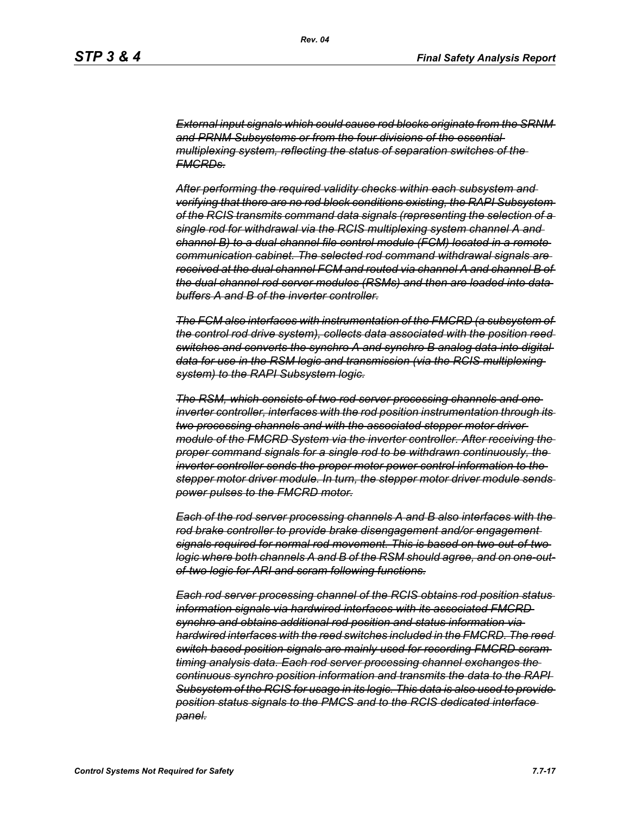*External input signals which could cause rod blocks originate from the SRNM and PRNM Subsystems or from the four divisions of the essential multiplexing system, reflecting the status of separation switches of the FMCRDs.*

*After performing the required validity checks within each subsystem and verifying that there are no rod block conditions existing, the RAPI Subsystem of the RCIS transmits command data signals (representing the selection of a single rod for withdrawal via the RCIS multiplexing system channel A and channel B) to a dual channel file control module (FCM) located in a remote communication cabinet. The selected rod command withdrawal signals are received at the dual channel FCM and routed via channel A and channel B of the dual channel rod server modules (RSMs) and then are loaded into data buffers A and B of the inverter controller.*

*The FCM also interfaces with instrumentation of the FMCRD (a subsystem of the control rod drive system), collects data associated with the position reed switches and converts the synchro A and synchro B analog data into digital data for use in the RSM logic and transmission (via the RCIS multiplexing system) to the RAPI Subsystem logic.*

*The RSM, which consists of two rod server processing channels and one inverter controller, interfaces with the rod position instrumentation through its two processing channels and with the associated stepper motor driver module of the FMCRD System via the inverter controller. After receiving the proper command signals for a single rod to be withdrawn continuously, the inverter controller sends the proper motor power control information to the stepper motor driver module. In turn, the stepper motor driver module sends power pulses to the FMCRD motor.*

*Each of the rod server processing channels A and B also interfaces with the rod brake controller to provide brake disengagement and/or engagement signals required for normal rod movement. This is based on two-out-of-two logic where both channels A and B of the RSM should agree, and on one-outof-two logic for ARI and scram following functions.*

*Each rod server processing channel of the RCIS obtains rod position status information signals via hardwired interfaces with its associated FMCRD synchro and obtains additional rod position and status information via hardwired interfaces with the reed switches included in the FMCRD. The reed switch based position signals are mainly used for recording FMCRD scram timing analysis data. Each rod server processing channel exchanges the continuous synchro position information and transmits the data to the RAPI Subsystem of the RCIS for usage in its logic. This data is also used to provide position status signals to the PMCS and to the RCIS dedicated interface panel.*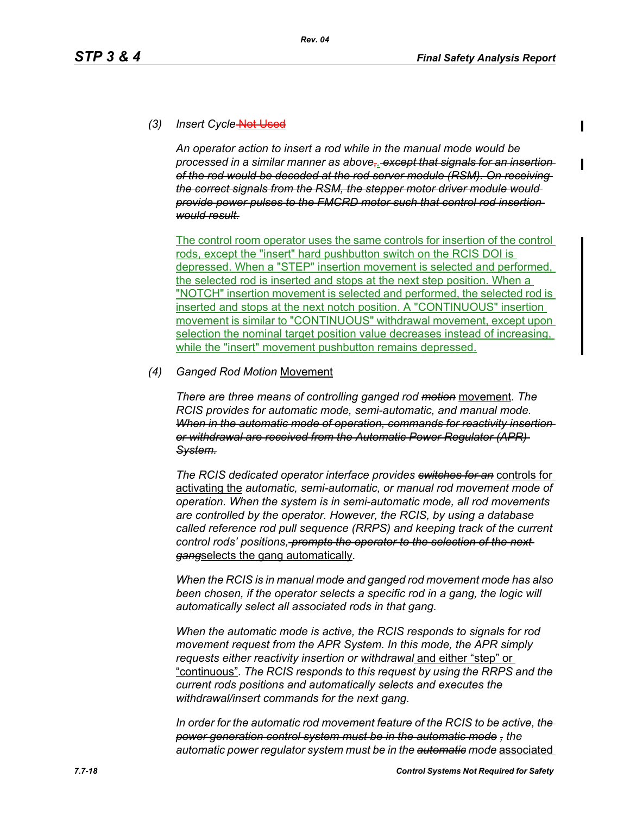## (3) Insert Cycle-Not Used

*An operator action to insert a rod while in the manual mode would be processed in a similar manner as above,. except that signals for an insertion of the rod would be decoded at the rod server module (RSM). On receiving the correct signals from the RSM, the stepper motor driver module would provide power pulses to the FMCRD motor such that control rod insertion would result.*

The control room operator uses the same controls for insertion of the control rods, except the "insert" hard pushbutton switch on the RCIS DOI is depressed. When a "STEP" insertion movement is selected and performed, the selected rod is inserted and stops at the next step position. When a "NOTCH" insertion movement is selected and performed, the selected rod is inserted and stops at the next notch position. A "CONTINUOUS" insertion movement is similar to "CONTINUOUS" withdrawal movement, except upon selection the nominal target position value decreases instead of increasing, while the "insert" movement pushbutton remains depressed.

### *(4) Ganged Rod Motion* Movement

*There are three means of controlling ganged rod motion* movement*. The RCIS provides for automatic mode, semi-automatic, and manual mode. When in the automatic mode of operation, commands for reactivity insertion or withdrawal are received from the Automatic Power Regulator (APR) System.*

*The RCIS dedicated operator interface provides switches for an* controls for activating the *automatic, semi-automatic, or manual rod movement mode of operation. When the system is in semi-automatic mode, all rod movements are controlled by the operator. However, the RCIS, by using a database called reference rod pull sequence (RRPS) and keeping track of the current control rods' positions, prompts the operator to the selection of the next gang*selects the gang automatically*.*

*When the RCIS is in manual mode and ganged rod movement mode has also*  been chosen, if the operator selects a specific rod in a gang, the logic will *automatically select all associated rods in that gang.*

*When the automatic mode is active, the RCIS responds to signals for rod movement request from the APR System. In this mode, the APR simply requests either reactivity insertion or withdrawal* and either "step" or "continuous"*. The RCIS responds to this request by using the RRPS and the current rods positions and automatically selects and executes the withdrawal/insert commands for the next gang.*

*In order for the automatic rod movement feature of the RCIS to be active, the power generation control system must be in the automatic mode , the automatic power regulator system must be in the automatic mode* associated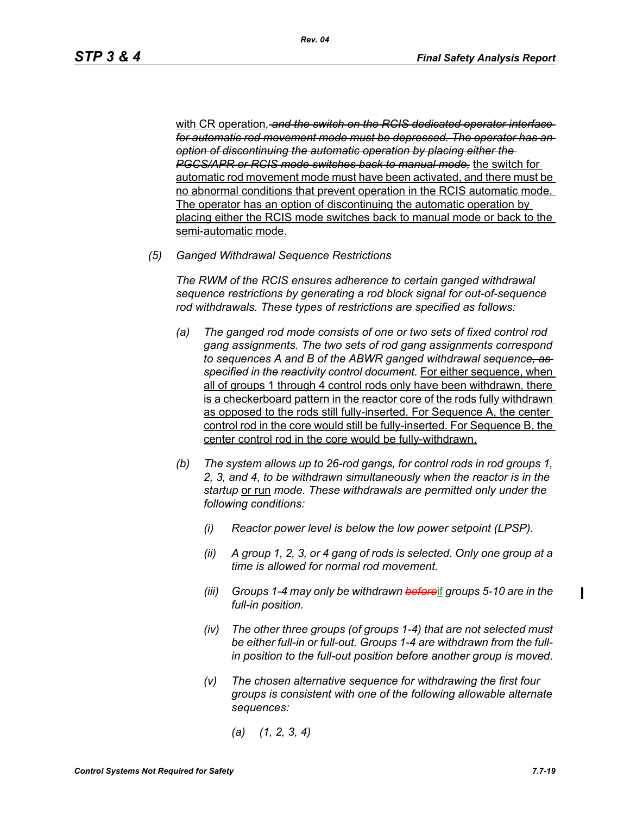with CR operation*, and the switch on the RCIS dedicated operator interface for automatic rod movement mode must be depressed. The operator has an option of discontinuing the automatic operation by placing either the PGCS/APR or RCIS mode switches back to manual mode,* the switch for automatic rod movement mode must have been activated, and there must be no abnormal conditions that prevent operation in the RCIS automatic mode. The operator has an option of discontinuing the automatic operation by placing either the RCIS mode switches back to manual mode or back to the semi-automatic mode.

*(5) Ganged Withdrawal Sequence Restrictions*

*The RWM of the RCIS ensures adherence to certain ganged withdrawal sequence restrictions by generating a rod block signal for out-of-sequence rod withdrawals. These types of restrictions are specified as follows:*

- *(a) The ganged rod mode consists of one or two sets of fixed control rod gang assignments. The two sets of rod gang assignments correspond to sequences A and B of the ABWR ganged withdrawal sequence, as specified in the reactivity control document.* For either sequence, when all of groups 1 through 4 control rods only have been withdrawn, there is a checkerboard pattern in the reactor core of the rods fully withdrawn as opposed to the rods still fully-inserted. For Sequence A, the center control rod in the core would still be fully-inserted. For Sequence B, the center control rod in the core would be fully-withdrawn.
- *(b) The system allows up to 26-rod gangs, for control rods in rod groups 1, 2, 3, and 4, to be withdrawn simultaneously when the reactor is in the startup* or run *mode. These withdrawals are permitted only under the following conditions:*
	- *(i) Reactor power level is below the low power setpoint (LPSP).*
	- *(ii) A group 1, 2, 3, or 4 gang of rods is selected. Only one group at a time is allowed for normal rod movement.*
	- *(iii) Groups 1-4 may only be withdrawn before*if *groups 5-10 are in the full-in position.*
	- *(iv) The other three groups (of groups 1-4) that are not selected must be either full-in or full-out. Groups 1-4 are withdrawn from the fullin position to the full-out position before another group is moved.*
	- *(v) The chosen alternative sequence for withdrawing the first four groups is consistent with one of the following allowable alternate sequences:*
		- *(a) (1, 2, 3, 4)*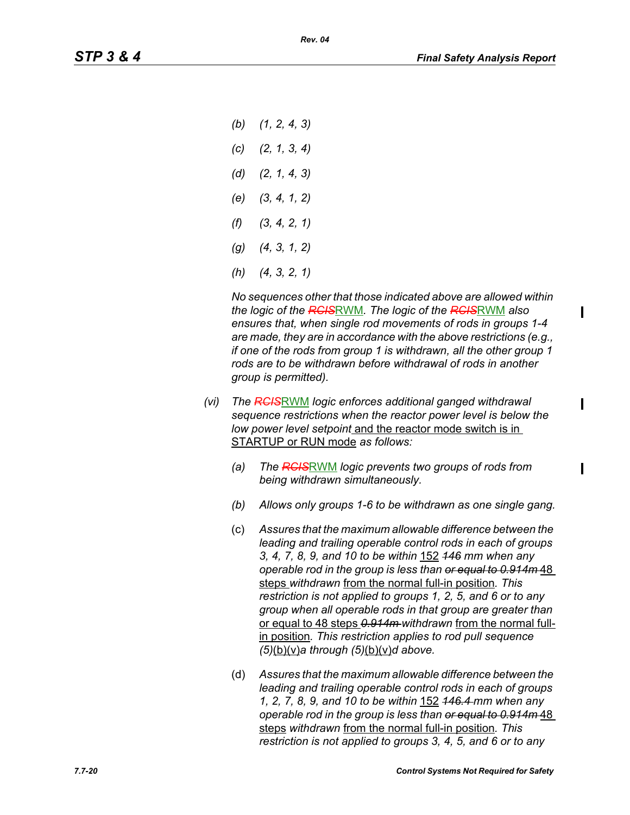*(b) (1, 2, 4, 3) (c) (2, 1, 3, 4) (d) (2, 1, 4, 3) (e) (3, 4, 1, 2) (f) (3, 4, 2, 1) (g) (4, 3, 1, 2) (h) (4, 3, 2, 1)*

*No sequences other that those indicated above are allowed within the logic of the RCIS*RWM*. The logic of the RCIS*RWM *also ensures that, when single rod movements of rods in groups 1-4 are made, they are in accordance with the above restrictions (e.g., if one of the rods from group 1 is withdrawn, all the other group 1 rods are to be withdrawn before withdrawal of rods in another group is permitted).*

- *(vi) The RCIS*RWM *logic enforces additional ganged withdrawal sequence restrictions when the reactor power level is below the low power level setpoint* and the reactor mode switch is in STARTUP or RUN mode *as follows:*
	- *(a) The RCIS*RWM *logic prevents two groups of rods from being withdrawn simultaneously.*
	- *(b) Allows only groups 1-6 to be withdrawn as one single gang.*
	- (c) *Assures that the maximum allowable difference between the leading and trailing operable control rods in each of groups 3, 4, 7, 8, 9, and 10 to be within* 152 *146 mm when any operable rod in the group is less than or equal to 0.914m* 48 steps *withdrawn* from the normal full-in position*. This restriction is not applied to groups 1, 2, 5, and 6 or to any group when all operable rods in that group are greater than*  or equal to 48 steps *0.914m withdrawn* from the normal fullin position*. This restriction applies to rod pull sequence (5)*(b)(v)*a through (5)*(b)(v)*d above.*
	- (d) *Assures that the maximum allowable difference between the leading and trailing operable control rods in each of groups 1, 2, 7, 8, 9, and 10 to be within* 152 *146.4 mm when any operable rod in the group is less than or equal to 0.914m* 48 steps *withdrawn* from the normal full-in position*. This restriction is not applied to groups 3, 4, 5, and 6 or to any*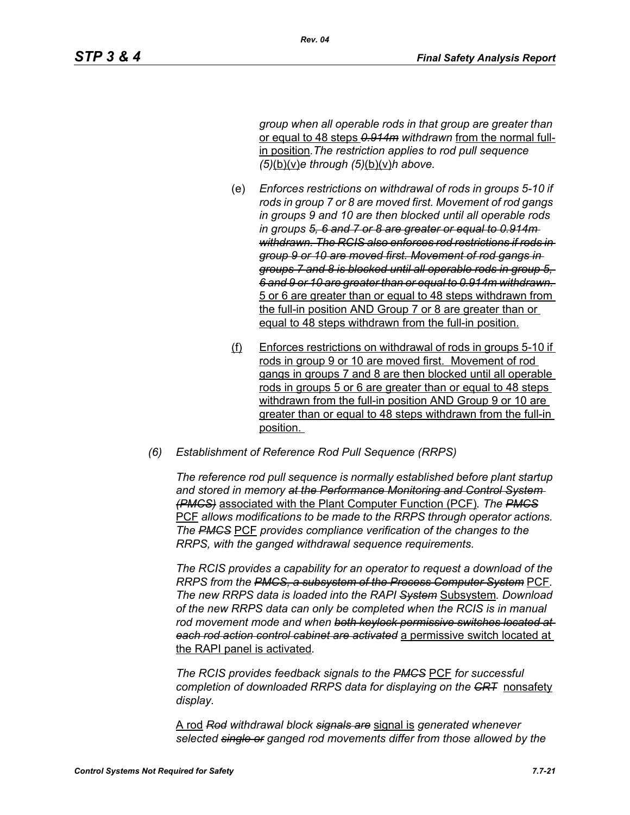*group when all operable rods in that group are greater than*  or equal to 48 steps *0.914m withdrawn* from the normal fullin position*.The restriction applies to rod pull sequence (5)*(b)(v)*e through (5)*(b)(v)*h above.*

- (e) *Enforces restrictions on withdrawal of rods in groups 5-10 if rods in group 7 or 8 are moved first. Movement of rod gangs in groups 9 and 10 are then blocked until all operable rods in groups 5, 6 and 7 or 8 are greater or equal to 0.914m withdrawn. The RCIS also enforces rod restrictions if rods in group 9 or 10 are moved first. Movement of rod gangs in groups 7 and 8 is blocked until all operable rods in group 5, 6 and 9 or 10 are greater than or equal to 0.914m withdrawn.*  5 or 6 are greater than or equal to 48 steps withdrawn from the full-in position AND Group 7 or 8 are greater than or equal to 48 steps withdrawn from the full-in position.
- (f) Enforces restrictions on withdrawal of rods in groups 5-10 if rods in group 9 or 10 are moved first. Movement of rod gangs in groups 7 and 8 are then blocked until all operable rods in groups 5 or 6 are greater than or equal to 48 steps withdrawn from the full-in position AND Group 9 or 10 are greater than or equal to 48 steps withdrawn from the full-in position.
- *(6) Establishment of Reference Rod Pull Sequence (RRPS)*

*The reference rod pull sequence is normally established before plant startup and stored in memory at the Performance Monitoring and Control System (PMCS)* associated with the Plant Computer Function (PCF)*. The PMCS* PCF *allows modifications to be made to the RRPS through operator actions. The PMCS* PCF *provides compliance verification of the changes to the RRPS, with the ganged withdrawal sequence requirements.*

*The RCIS provides a capability for an operator to request a download of the RRPS from the PMCS, a subsystem of the Process Computer System* PCF*. The new RRPS data is loaded into the RAPI System* Subsystem*. Download of the new RRPS data can only be completed when the RCIS is in manual rod movement mode and when both keylock permissive switches located at each rod action control cabinet are activated* a permissive switch located at the RAPI panel is activated*.*

*The RCIS provides feedback signals to the PMCS* PCF *for successful completion of downloaded RRPS data for displaying on the CRT* nonsafety *display.*

A rod *Rod withdrawal block signals are* signal is *generated whenever selected single or ganged rod movements differ from those allowed by the*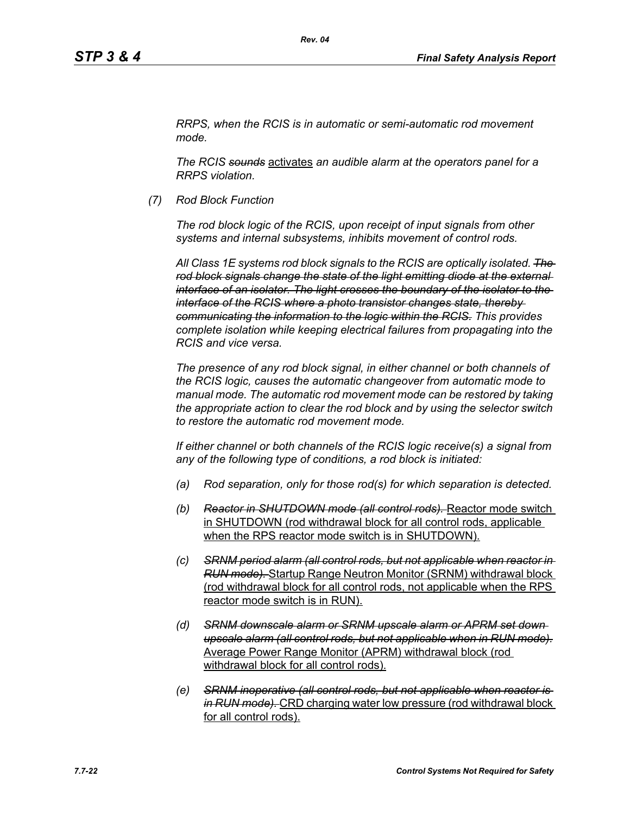*RRPS, when the RCIS is in automatic or semi-automatic rod movement mode.*

*Rev. 04*

*The RCIS sounds* activates *an audible alarm at the operators panel for a RRPS violation.*

*(7) Rod Block Function*

*The rod block logic of the RCIS, upon receipt of input signals from other systems and internal subsystems, inhibits movement of control rods.*

*All Class 1E systems rod block signals to the RCIS are optically isolated. The rod block signals change the state of the light emitting diode at the external interface of an isolator. The light crosses the boundary of the isolator to the interface of the RCIS where a photo transistor changes state, thereby communicating the information to the logic within the RCIS. This provides complete isolation while keeping electrical failures from propagating into the RCIS and vice versa.*

*The presence of any rod block signal, in either channel or both channels of the RCIS logic, causes the automatic changeover from automatic mode to manual mode. The automatic rod movement mode can be restored by taking the appropriate action to clear the rod block and by using the selector switch to restore the automatic rod movement mode.*

*If either channel or both channels of the RCIS logic receive(s) a signal from any of the following type of conditions, a rod block is initiated:*

- *(a) Rod separation, only for those rod(s) for which separation is detected.*
- *(b) Reactor in SHUTDOWN mode (all control rods).* Reactor mode switch in SHUTDOWN (rod withdrawal block for all control rods, applicable when the RPS reactor mode switch is in SHUTDOWN).
- *(c) SRNM period alarm (all control rods, but not applicable when reactor in RUN mode).* Startup Range Neutron Monitor (SRNM) withdrawal block (rod withdrawal block for all control rods, not applicable when the RPS reactor mode switch is in RUN).
- *(d) SRNM downscale alarm or SRNM upscale alarm or APRM set down upscale alarm (all control rods, but not applicable when in RUN mode).* Average Power Range Monitor (APRM) withdrawal block (rod withdrawal block for all control rods).
- *(e) SRNM inoperative (all control rods, but not applicable when reactor is in RUN mode).* CRD charging water low pressure (rod withdrawal block for all control rods).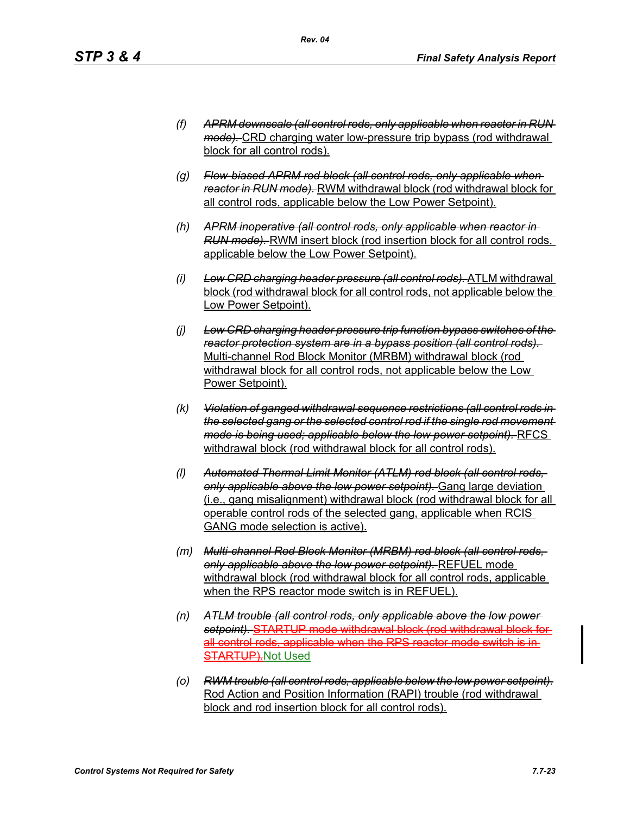- *(f) APRM downscale (all control rods, only applicable when reactor in RUN mode).* CRD charging water low-pressure trip bypass (rod withdrawal block for all control rods).
- *(g) Flow-biased APRM rod block (all control rods, only applicable when reactor in RUN mode).* RWM withdrawal block (rod withdrawal block for all control rods, applicable below the Low Power Setpoint).
- *(h) APRM inoperative (all control rods, only applicable when reactor in RUN mode).* RWM insert block (rod insertion block for all control rods, applicable below the Low Power Setpoint).
- *(i) Low CRD charging header pressure (all control rods).* ATLM withdrawal block (rod withdrawal block for all control rods, not applicable below the Low Power Setpoint).
- *(j) Low CRD charging header pressure trip function bypass switches of the reactor protection system are in a bypass position (all control rods).*  Multi-channel Rod Block Monitor (MRBM) withdrawal block (rod withdrawal block for all control rods, not applicable below the Low Power Setpoint).
- *(k) Violation of ganged withdrawal sequence restrictions (all control rods in the selected gang or the selected control rod if the single rod movement mode is being used; applicable below the low power setpoint).* RFCS withdrawal block (rod withdrawal block for all control rods).
- *(l) Automated Thermal Limit Monitor (ATLM) rod block (all control rods, only applicable above the low power setpoint).* Gang large deviation (i.e., gang misalignment) withdrawal block (rod withdrawal block for all operable control rods of the selected gang, applicable when RCIS GANG mode selection is active).
- *(m) Multi-channel Rod Block Monitor (MRBM) rod block (all control rods, only applicable above the low power setpoint).* REFUEL mode withdrawal block (rod withdrawal block for all control rods, applicable when the RPS reactor mode switch is in REFUEL).
- *(n) ATLM trouble (all control rods, only applicable above the low power setpoint).* STARTUP mode withdrawal block (rod withdrawal block for all control rods, applicable when the RPS reactor mode switch is in **STARTUP).Not Used**
- *(o) RWM trouble (all control rods, applicable below the low power setpoint).* Rod Action and Position Information (RAPI) trouble (rod withdrawal block and rod insertion block for all control rods).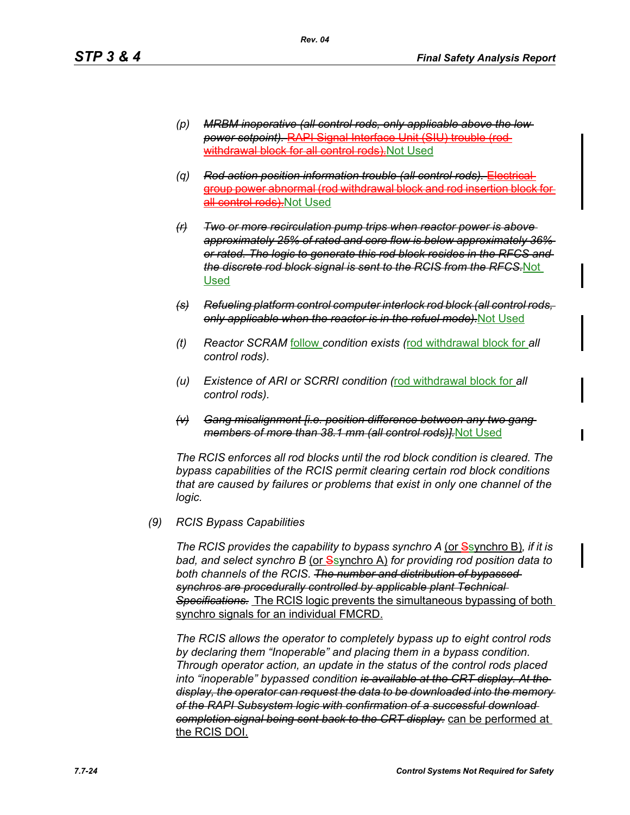- *(p) MRBM inoperative (all control rods, only applicable above the low power setpoint).* RAPI Signal Interface Unit (SIU) trouble (rod withdrawal block for all control rods). Not Used
- *(q) Rod action position information trouble (all control rods).* Electrical group power abnormal (rod withdrawal block and rod insertion block all control rods). Not Used
- *(r) Two or more recirculation pump trips when reactor power is above approximately 25% of rated and core flow is below approximately 36% or rated. The logic to generate this rod block resides in the RFCS and the discrete rod block signal is sent to the RCIS from the RFCS.*Not Used
- *(s) Refueling platform control computer interlock rod block (all control rods, only applicable when the reactor is in the refuel mode).*Not Used
- *(t) Reactor SCRAM* follow *condition exists (*rod withdrawal block for *all control rods).*
- *(u) Existence of ARI or SCRRI condition (*rod withdrawal block for *all control rods).*
- *(v) Gang misalignment [i.e. position difference between any two gang members of more than 38.1 mm (all control rods)].*Not Used

*The RCIS enforces all rod blocks until the rod block condition is cleared. The bypass capabilities of the RCIS permit clearing certain rod block conditions that are caused by failures or problems that exist in only one channel of the logic.*

*(9) RCIS Bypass Capabilities*

*The RCIS provides the capability to bypass synchro A (or Ssynchro B), if it is bad, and select synchro B* (or Ssynchro A) *for providing rod position data to both channels of the RCIS. The number and distribution of bypassed synchros are procedurally controlled by applicable plant Technical Specifications.* The RCIS logic prevents the simultaneous bypassing of both synchro signals for an individual FMCRD.

*The RCIS allows the operator to completely bypass up to eight control rods by declaring them "Inoperable" and placing them in a bypass condition. Through operator action, an update in the status of the control rods placed into "inoperable" bypassed condition is available at the CRT display. At the display, the operator can request the data to be downloaded into the memory of the RAPI Subsystem logic with confirmation of a successful download completion signal being sent back to the CRT display.* can be performed at the RCIS DOI.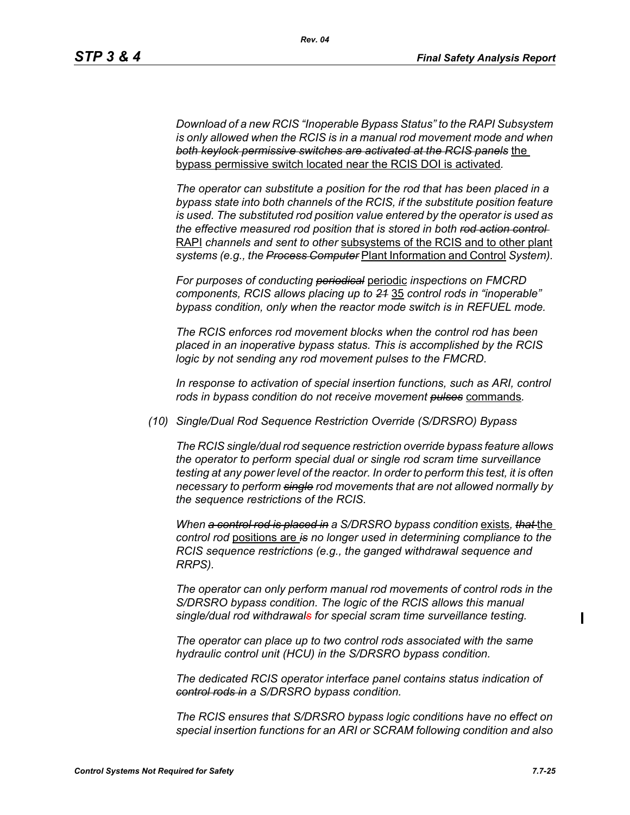*Download of a new RCIS "Inoperable Bypass Status" to the RAPI Subsystem is only allowed when the RCIS is in a manual rod movement mode and when both keylock permissive switches are activated at the RCIS panels* the bypass permissive switch located near the RCIS DOI is activated*.*

*The operator can substitute a position for the rod that has been placed in a bypass state into both channels of the RCIS, if the substitute position feature is used. The substituted rod position value entered by the operator is used as the effective measured rod position that is stored in both rod action control*  RAPI *channels and sent to other* subsystems of the RCIS and to other plant *systems (e.g., the Process Computer* Plant Information and Control *System).*

*For purposes of conducting periodical* periodic *inspections on FMCRD components, RCIS allows placing up to 21* 35 *control rods in "inoperable" bypass condition, only when the reactor mode switch is in REFUEL mode.*

*The RCIS enforces rod movement blocks when the control rod has been placed in an inoperative bypass status. This is accomplished by the RCIS logic by not sending any rod movement pulses to the FMCRD.*

*In response to activation of special insertion functions, such as ARI, control rods in bypass condition do not receive movement pulses* commands*.*

*(10) Single/Dual Rod Sequence Restriction Override (S/DRSRO) Bypass*

*The RCIS single/dual rod sequence restriction override bypass feature allows the operator to perform special dual or single rod scram time surveillance testing at any power level of the reactor. In order to perform this test, it is often necessary to perform single rod movements that are not allowed normally by the sequence restrictions of the RCIS.*

*When a control rod is placed in a S/DRSRO bypass condition* exists*, that* the *control rod* positions are *is no longer used in determining compliance to the RCIS sequence restrictions (e.g., the ganged withdrawal sequence and RRPS).*

*The operator can only perform manual rod movements of control rods in the S/DRSRO bypass condition. The logic of the RCIS allows this manual single/dual rod withdrawals for special scram time surveillance testing.*

*The operator can place up to two control rods associated with the same hydraulic control unit (HCU) in the S/DRSRO bypass condition.*

*The dedicated RCIS operator interface panel contains status indication of control rods in a S/DRSRO bypass condition.*

*The RCIS ensures that S/DRSRO bypass logic conditions have no effect on special insertion functions for an ARI or SCRAM following condition and also*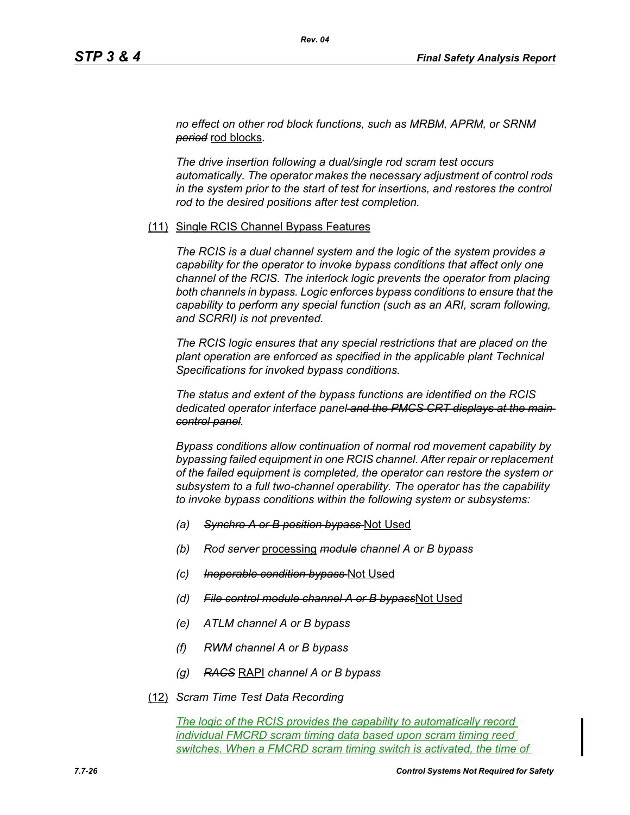*no effect on other rod block functions, such as MRBM, APRM, or SRNM period* rod blocks*.*

*Rev. 04*

*The drive insertion following a dual/single rod scram test occurs automatically. The operator makes the necessary adjustment of control rods in the system prior to the start of test for insertions, and restores the control rod to the desired positions after test completion.*

### (11) Single RCIS Channel Bypass Features

*The RCIS is a dual channel system and the logic of the system provides a capability for the operator to invoke bypass conditions that affect only one channel of the RCIS. The interlock logic prevents the operator from placing both channels in bypass. Logic enforces bypass conditions to ensure that the capability to perform any special function (such as an ARI, scram following, and SCRRI) is not prevented.*

*The RCIS logic ensures that any special restrictions that are placed on the plant operation are enforced as specified in the applicable plant Technical Specifications for invoked bypass conditions.*

*The status and extent of the bypass functions are identified on the RCIS dedicated operator interface panel and the PMCS CRT displays at the main control panel.*

*Bypass conditions allow continuation of normal rod movement capability by bypassing failed equipment in one RCIS channel. After repair or replacement of the failed equipment is completed, the operator can restore the system or subsystem to a full two-channel operability. The operator has the capability to invoke bypass conditions within the following system or subsystems:*

- *(a) Synchro A or B position bypass* Not Used
- *(b) Rod server* processing *module channel A or B bypass*
- *(c) Inoperable condition bypass* Not Used
- *(d) File control module channel A or B bypass*Not Used
- *(e) ATLM channel A or B bypass*
- *(f) RWM channel A or B bypass*
- *(g) RACS* RAPI *channel A or B bypass*
- (12) *Scram Time Test Data Recording*

*The logic of the RCIS provides the capability to automatically record individual FMCRD scram timing data based upon scram timing reed switches. When a FMCRD scram timing switch is activated, the time of*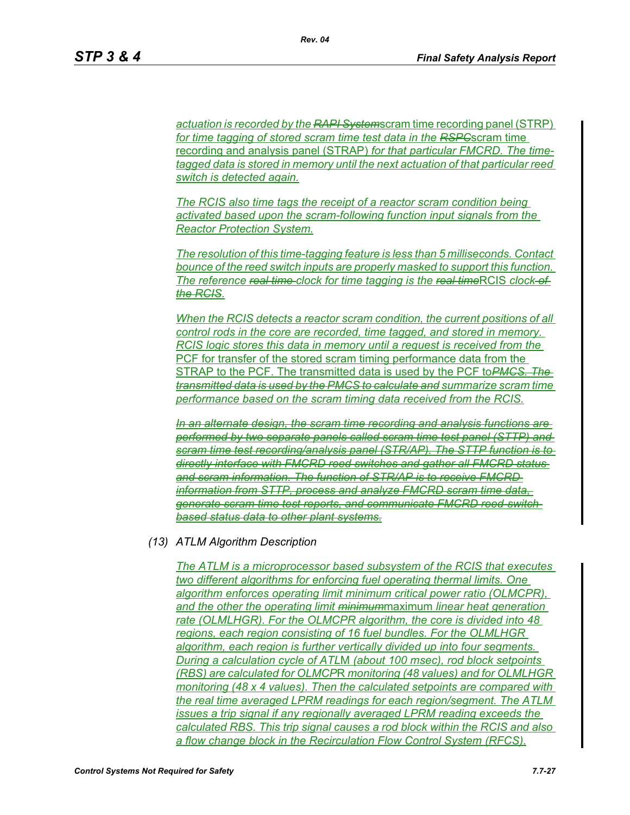*actuation is recorded by the RAPI System*scram time recording panel (STRP) *for time tagging of stored scram time test data in the RSPC*scram time recording and analysis panel (STRAP) *for that particular FMCRD. The timetagged data is stored in memory until the next actuation of that particular reed switch is detected again.*

*The RCIS also time tags the receipt of a reactor scram condition being activated based upon the scram-following function input signals from the Reactor Protection System.*

*The resolution of this time-tagging feature is less than 5 milliseconds. Contact bounce of the reed switch inputs are properly masked to support this function. The reference real time clock for time tagging is the real time*RCIS *clock of the RCIS.*

*When the RCIS detects a reactor scram condition, the current positions of all control rods in the core are recorded, time tagged, and stored in memory. RCIS logic stores this data in memory until a request is received from the*  PCF for transfer of the stored scram timing performance data from the STRAP to the PCF. The transmitted data is used by the PCF to*PMCS. The transmitted data is used by the PMCS to calculate and summarize scram time performance based on the scram timing data received from the RCIS.*

*In an alternate design, the scram time recording and analysis functions are performed by two separate panels called scram time test panel (STTP) and scram time test recording/analysis panel (STR/AP). The STTP function is to directly interface with FMCRD reed switches and gather all FMCRD status and scram information. The function of STR/AP is to receive FMCRD information from STTP, process and analyze FMCRD scram time data, generate scram time test reports, and communicate FMCRD reed-switchbased status data to other plant systems.*

### *(13) ATLM Algorithm Description*

*The ATLM is a microprocessor based subsystem of the RCIS that executes two different algorithms for enforcing fuel operating thermal limits. One algorithm enforces operating limit minimum critical power ratio (OLMCPR), and the other the operating limit minimum*maximum *linear heat generation rate (OLMLHGR). For the OLMCPR algorithm, the core is divided into 48 regions, each region consisting of 16 fuel bundles. For the OLMLHGR algorithm, each region is further vertically divided up into four segments. During a calculation cycle of ATL*M *(about 100 msec), rod block setpoints (RBS) are calculated for OLMCP*R *monitoring (48 values) and for OLMLHGR monitoring (48 x 4 values). Then the calculated setpoints are compared with the real time averaged LPRM readings for each region/segment. The ATLM issues a trip signal if any regionally averaged LPRM reading exceeds the calculated RBS. This trip signal causes a rod block within the RCIS and also a flow change block in the Recirculation Flow Control System (RFCS).*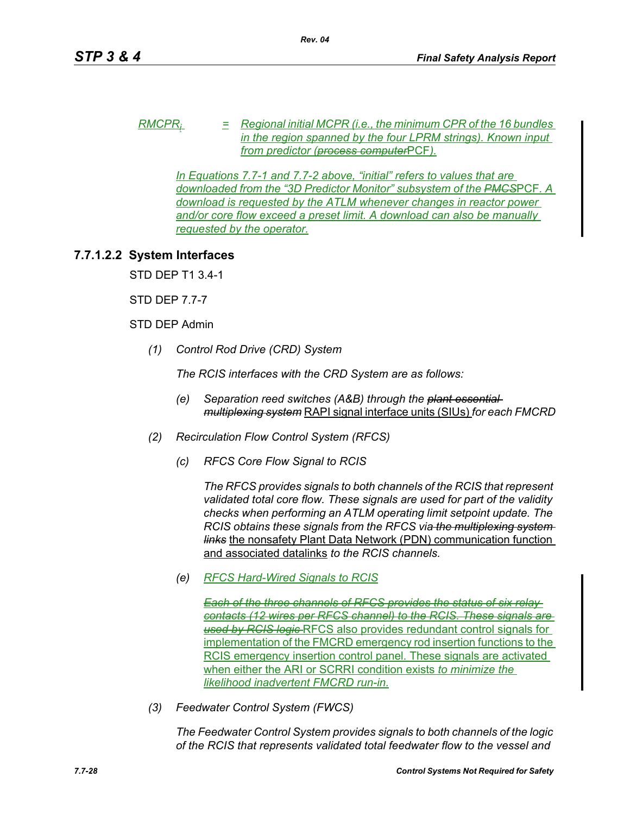*RMCPRi = Regional initial MCPR (i.e., the minimum CPR of the 16 bundles in the region spanned by the four LPRM strings). Known input from predictor (process computer*PCF*).*

*In Equations 7.7-1 and 7.7-2 above, "initial" refers to values that are downloaded from the "3D Predictor Monitor" subsystem of the PMCS*PCF*. A download is requested by the ATLM whenever changes in reactor power and/or core flow exceed a preset limit. A download can also be manually requested by the operator.*

# **7.7.1.2.2 System Interfaces**

STD DEP T1 3.4-1

STD DEP 7.7-7

## STD DEP Admin

*(1) Control Rod Drive (CRD) System*

*The RCIS interfaces with the CRD System are as follows:*

- *(e) Separation reed switches (A&B) through the plant essential multiplexing system* RAPI signal interface units (SIUs) *for each FMCRD*
- *(2) Recirculation Flow Control System (RFCS)*
	- *(c) RFCS Core Flow Signal to RCIS*

*The RFCS provides signals to both channels of the RCIS that represent validated total core flow. These signals are used for part of the validity checks when performing an ATLM operating limit setpoint update. The RCIS obtains these signals from the RFCS via the multiplexing system links* the nonsafety Plant Data Network (PDN) communication function and associated datalinks *to the RCIS channels.*

*(e) RFCS Hard-Wired Signals to RCIS*

*Each of the three channels of RFCS provides the status of six relay contacts (12 wires per RFCS channel) to the RCIS. These signals are used by RCIS logic* RFCS also provides redundant control signals for implementation of the FMCRD emergency rod insertion functions to the RCIS emergency insertion control panel. These signals are activated when either the ARI or SCRRI condition exists *to minimize the likelihood inadvertent FMCRD run-in.*

*(3) Feedwater Control System (FWCS)*

*The Feedwater Control System provides signals to both channels of the logic of the RCIS that represents validated total feedwater flow to the vessel and*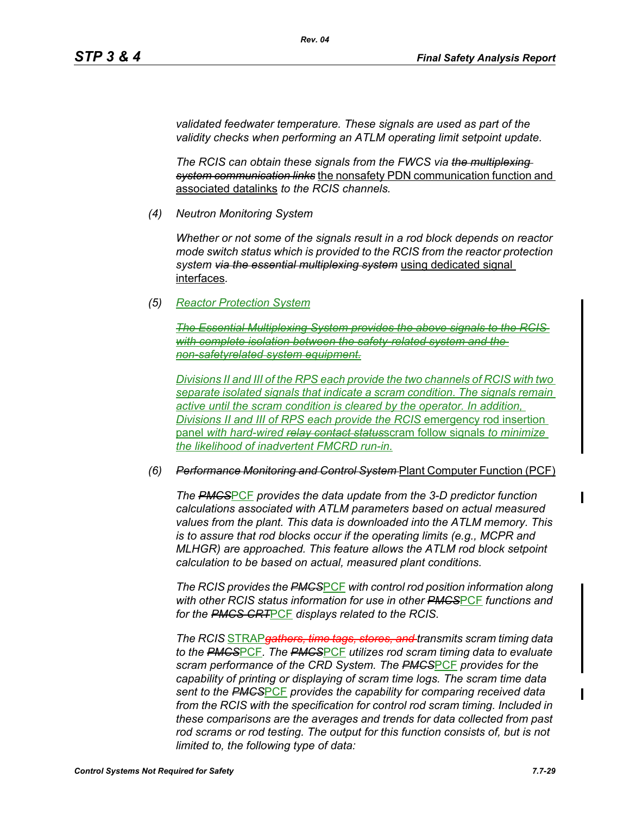*validated feedwater temperature. These signals are used as part of the validity checks when performing an ATLM operating limit setpoint update.*

*The RCIS can obtain these signals from the FWCS via the multiplexing system communication links* the nonsafety PDN communication function and associated datalinks *to the RCIS channels.*

*(4) Neutron Monitoring System*

*Whether or not some of the signals result in a rod block depends on reactor mode switch status which is provided to the RCIS from the reactor protection system via the essential multiplexing system* using dedicated signal interfaces*.*

*(5) Reactor Protection System*

**The Essential Multiplexing System provides the** with complete isolation between the safety-related system *non-safetyrelated system equipment.*

*Divisions II and III of the RPS each provide the two channels of RCIS with two separate isolated signals that indicate a scram condition. The signals remain active until the scram condition is cleared by the operator. In addition, Divisions II and III of RPS each provide the RCIS* emergency rod insertion panel *with hard-wired relay contact status*scram follow signals *to minimize the likelihood of inadvertent FMCRD run-in.*

### *(6) Performance Monitoring and Control System* Plant Computer Function (PCF)

*The PMCS*PCF *provides the data update from the 3-D predictor function calculations associated with ATLM parameters based on actual measured values from the plant. This data is downloaded into the ATLM memory. This is to assure that rod blocks occur if the operating limits (e.g., MCPR and MLHGR) are approached. This feature allows the ATLM rod block setpoint calculation to be based on actual, measured plant conditions.*

*The RCIS provides the PMCS*PCF *with control rod position information along with other RCIS status information for use in other PMCS*PCF *functions and for the PMCS CRT*PCF *displays related to the RCIS.*

*The RCIS* STRAP*gathers, time tags, stores, and transmits scram timing data to the PMCS*PCF*. The PMCS*PCF *utilizes rod scram timing data to evaluate scram performance of the CRD System. The PMCS*PCF *provides for the capability of printing or displaying of scram time logs. The scram time data sent to the PMCS*PCF *provides the capability for comparing received data from the RCIS with the specification for control rod scram timing. Included in these comparisons are the averages and trends for data collected from past*  rod scrams or rod testing. The output for this function consists of, but is not *limited to, the following type of data:*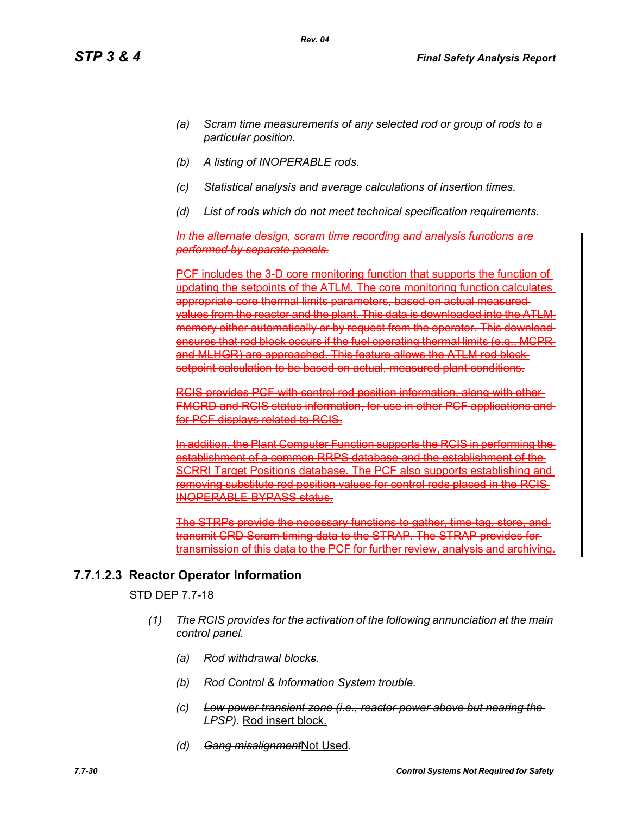- *(a) Scram time measurements of any selected rod or group of rods to a particular position.*
- *(b) A listing of INOPERABLE rods.*
- *(c) Statistical analysis and average calculations of insertion times.*
- *(d) List of rods which do not meet technical specification requirements.*

*In the alternate design, scram time recording and analysis functions are performed by separate panels.*

PCF includes the 3-D core monitoring function that supports the function of updating the setpoints of the ATLM. The core monitoring function calculates appropriate core thermal limits parameters, based on actual measured values from the reactor and the plant. This data is downloaded into the ATLM memory either automatically or by request from the operator. This download ensures that rod block occurs if the fuel operating thermal limits (e.g., MCPR and MLHGR) are approached. This feature allows the ATLM rod block setpoint calculation to be based on actual, measured plant conditions.

RCIS provides PCF with control rod position information, along with other **FMCRD and RCIS status information, for use in other PCF applications and report and report and report and report** for PCF displays related to RCIS.

In addition, the Plant Computer Function supports the RCIS in performing the establishment of a common RRPS database and the establishment of the SCRRI Target Positions database. The PCF also supports establishing and removing substitute rod position values for control rods placed in the RCIS INOPERABLE BYPASS status.

TRPs provide the necessary functions to gather transmit CRD Scram timing data to the STRAP. The STRAP provides for transmission of this data to the PCF for further review, analysis and archiving.

# **7.7.1.2.3 Reactor Operator Information**

STD DEP 7.7-18

- *(1) The RCIS provides for the activation of the following annunciation at the main control panel.*
	- *(a) Rod withdrawal blocks.*
	- *(b) Rod Control & Information System trouble.*
	- *(c) Low power transient zone (i.e., reactor power above but nearing the LPSP).* Rod insert block.
	- *(d) Gang misalignment*Not Used*.*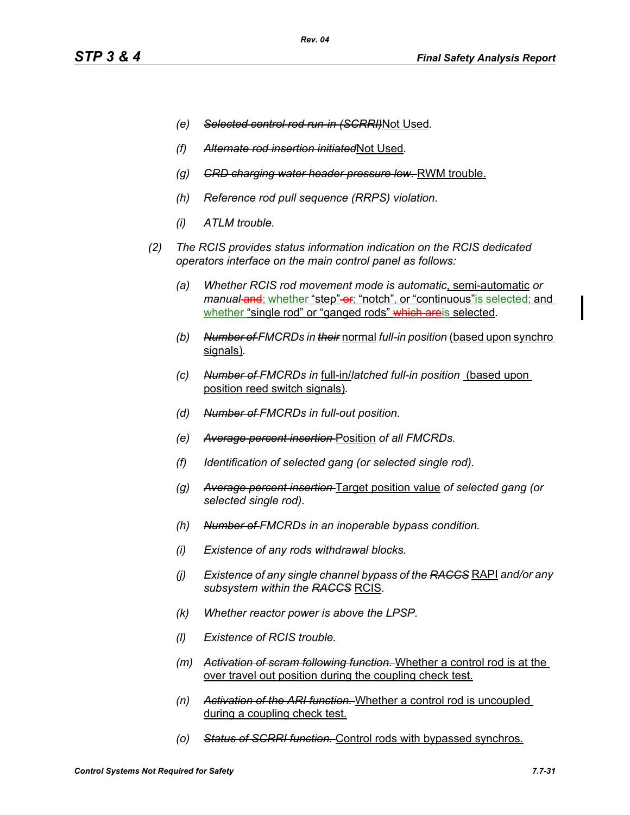- *(e) Selected control rod run-in (SCRRI)*Not Used*.*
- *(f) Alternate rod insertion initiated*Not Used*.*
- *(g) CRD charging water header pressure low.* RWM trouble.
- *(h) Reference rod pull sequence (RRPS) violation.*
- *(i) ATLM trouble.*
- *(2) The RCIS provides status information indication on the RCIS dedicated operators interface on the main control panel as follows:*
	- *(a) Whether RCIS rod movement mode is automatic*, semi-automatic *or manual-and; whether "step"-er; "notch", or "continuous" is selected; and* whether "single rod" or "ganged rods" which areis selected*.*
	- *(b) Number of FMCRDs in their* normal *full-in position* (based upon synchro signals)*.*
	- *(c) Number of FMCRDs in* full-in/*latched full-in position* (based upon position reed switch signals)*.*
	- *(d) Number of FMCRDs in full-out position.*
	- *(e) Average percent insertion* Position *of all FMCRDs.*
	- *(f) Identification of selected gang (or selected single rod).*
	- *(g) Average percent insertion* Target position value *of selected gang (or selected single rod).*
	- *(h) Number of FMCRDs in an inoperable bypass condition.*
	- *(i) Existence of any rods withdrawal blocks.*
	- *(j) Existence of any single channel bypass of the RACCS* RAPI *and/or any subsystem within the RACCS* RCIS*.*
	- *(k) Whether reactor power is above the LPSP.*
	- *(l) Existence of RCIS trouble.*
	- *(m) Activation of scram following function.* Whether a control rod is at the over travel out position during the coupling check test.
	- *(n) Activation of the ARI function.* Whether a control rod is uncoupled during a coupling check test.
	- *(o) Status of SCRRI function.* Control rods with bypassed synchros.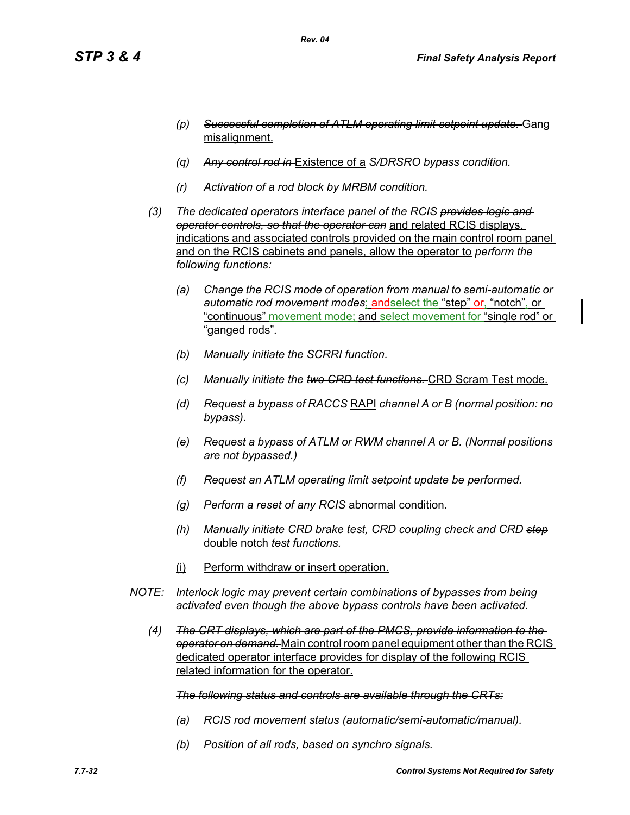- *(p) Successful completion of ATLM operating limit setpoint update.* Gang misalignment.
- *(q) Any control rod in* Existence of a *S/DRSRO bypass condition.*
- *(r) Activation of a rod block by MRBM condition.*
- *(3) The dedicated operators interface panel of the RCIS provides logic and operator controls, so that the operator can* and related RCIS displays, indications and associated controls provided on the main control room panel and on the RCIS cabinets and panels, allow the operator to *perform the following functions:*
	- *(a) Change the RCIS mode of operation from manual to semi-automatic or*  automatic rod movement modes; and select the "step"-or, "notch", or "continuous" movement mode; and select movement for "single rod" or "ganged rods"*.*
	- *(b) Manually initiate the SCRRI function.*
	- *(c) Manually initiate the two CRD test functions.* CRD Scram Test mode.
	- *(d) Request a bypass of RACCS* RAPI *channel A or B (normal position: no bypass).*
	- *(e) Request a bypass of ATLM or RWM channel A or B. (Normal positions are not bypassed.)*
	- *(f) Request an ATLM operating limit setpoint update be performed.*
	- *(g) Perform a reset of any RCIS* abnormal condition*.*
	- *(h) Manually initiate CRD brake test, CRD coupling check and CRD step* double notch *test functions.*
	- (i) Perform withdraw or insert operation.
- *NOTE: Interlock logic may prevent certain combinations of bypasses from being activated even though the above bypass controls have been activated.*
	- *(4) The CRT displays, which are part of the PMCS, provide information to the operator on demand.* Main control room panel equipment other than the RCIS dedicated operator interface provides for display of the following RCIS related information for the operator.

### *The following status and controls are available through the CRTs:*

- *(a) RCIS rod movement status (automatic/semi-automatic/manual).*
- *(b) Position of all rods, based on synchro signals.*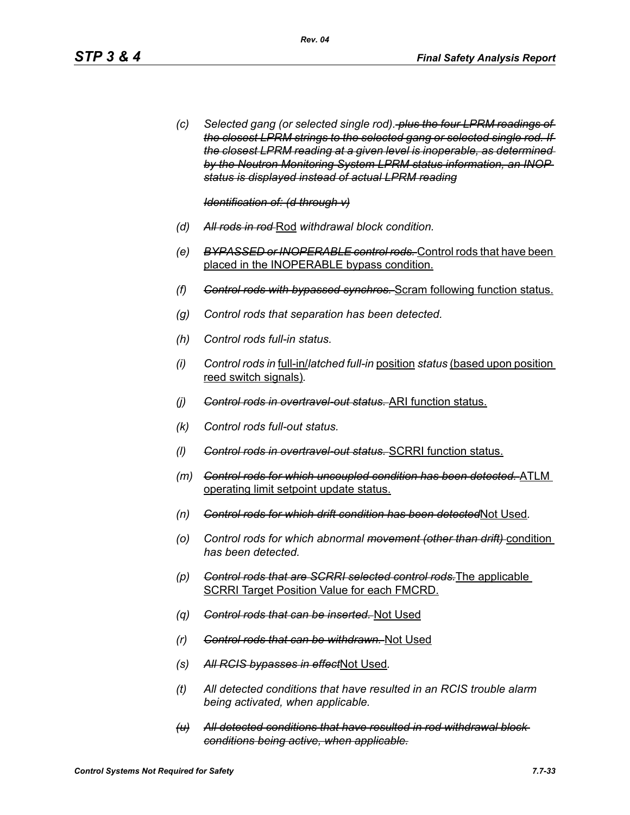*(c) Selected gang (or selected single rod). plus the four LPRM readings of the closest LPRM strings to the selected gang or selected single rod. If the closest LPRM reading at a given level is inoperable, as determined by the Neutron Monitoring System LPRM status information, an INOP status is displayed instead of actual LPRM reading*

*Identification of: (d through v)*

- *(d) All rods in rod* Rod *withdrawal block condition.*
- *(e) BYPASSED or INOPERABLE control rods.* Control rods that have been placed in the INOPERABLE bypass condition.
- *(f) Control rods with bypassed synchros.* Scram following function status.
- *(g) Control rods that separation has been detected.*
- *(h) Control rods full-in status.*
- *(i) Control rods in* full-in/*latched full-in* position *status* (based upon position reed switch signals)*.*
- *(j) Control rods in overtravel-out status.* ARI function status.
- *(k) Control rods full-out status.*
- *(l) Control rods in overtravel-out status.* SCRRI function status.
- *(m) Control rods for which uncoupled condition has been detected.* ATLM operating limit setpoint update status.
- *(n) Control rods for which drift condition has been detected*Not Used*.*
- *(o) Control rods for which abnormal movement (other than drift)* condition *has been detected.*
- *(p) Control rods that are SCRRI selected control rods.*The applicable SCRRI Target Position Value for each FMCRD.
- *(q) Control rods that can be inserted.* Not Used
- *(r) Control rods that can be withdrawn.* Not Used
- *(s) All RCIS bypasses in effect*Not Used*.*
- *(t) All detected conditions that have resulted in an RCIS trouble alarm being activated, when applicable.*
- *(u) All detected conditions that have resulted in rod withdrawal block conditions being active, when applicable.*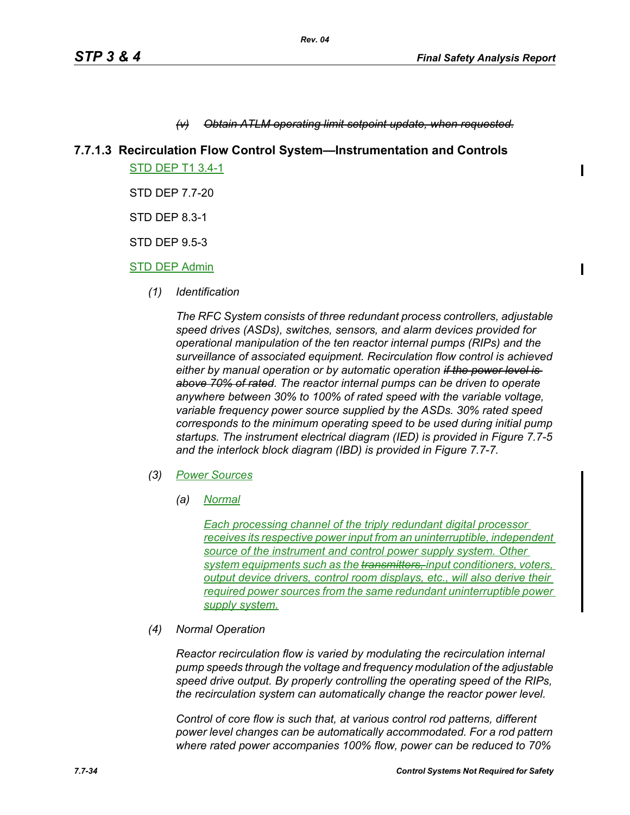### **Obtain ATLM operating limit setpoint update, when requested.**

## **7.7.1.3 Recirculation Flow Control System—Instrumentation and Controls**

STD DEP T1 3.4-1

STD DEP 7.7-20

STD DEP 8.3-1

STD DEP 9.5-3

### STD DEP Admin

*(1) Identification*

*The RFC System consists of three redundant process controllers, adjustable speed drives (ASDs), switches, sensors, and alarm devices provided for operational manipulation of the ten reactor internal pumps (RIPs) and the surveillance of associated equipment. Recirculation flow control is achieved either by manual operation or by automatic operation if the power level is above 70% of rated. The reactor internal pumps can be driven to operate anywhere between 30% to 100% of rated speed with the variable voltage, variable frequency power source supplied by the ASDs. 30% rated speed corresponds to the minimum operating speed to be used during initial pump startups. The instrument electrical diagram (IED) is provided in Figure 7.7-5 and the interlock block diagram (IBD) is provided in Figure 7.7-7.*

- *(3) Power Sources*
	- *(a) Normal*

*Each processing channel of the triply redundant digital processor receives its respective power input from an uninterruptible, independent source of the instrument and control power supply system. Other system equipments such as the transmitters, input conditioners, voters, <u>output</u> device drivers, control room displays, etc., will also derive their required power sources from the same redundant uninterruptible power supply system.*

*(4) Normal Operation*

*Reactor recirculation flow is varied by modulating the recirculation internal pump speeds through the voltage and frequency modulation of the adjustable speed drive output. By properly controlling the operating speed of the RIPs, the recirculation system can automatically change the reactor power level.*

*Control of core flow is such that, at various control rod patterns, different power level changes can be automatically accommodated. For a rod pattern where rated power accompanies 100% flow, power can be reduced to 70%*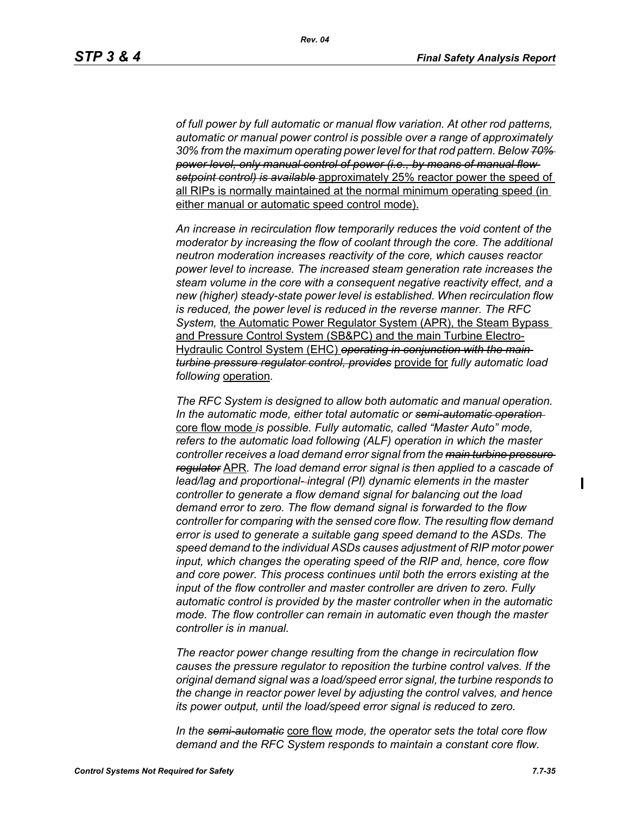*of full power by full automatic or manual flow variation. At other rod patterns, automatic or manual power control is possible over a range of approximately 30% from the maximum operating power level for that rod pattern. Below 70% power level, only manual control of power (i.e., by means of manual flow setpoint control) is available* approximately 25% reactor power the speed of all RIPs is normally maintained at the normal minimum operating speed (in either manual or automatic speed control mode).

*An increase in recirculation flow temporarily reduces the void content of the moderator by increasing the flow of coolant through the core. The additional neutron moderation increases reactivity of the core, which causes reactor power level to increase. The increased steam generation rate increases the steam volume in the core with a consequent negative reactivity effect, and a new (higher) steady-state power level is established. When recirculation flow is reduced, the power level is reduced in the reverse manner. The RFC System,* the Automatic Power Regulator System (APR), the Steam Bypass and Pressure Control System (SB&PC) and the main Turbine Electro-Hydraulic Control System (EHC) *operating in conjunction with the main turbine pressure regulator control, provides* provide for *fully automatic load following* operation*.* 

*The RFC System is designed to allow both automatic and manual operation. In the automatic mode, either total automatic or semi-automatic operation*  core flow mode *is possible. Fully automatic, called "Master Auto" mode, refers to the automatic load following (ALF) operation in which the master controller receives a load demand error signal from the main turbine pressure regulator* APR*. The load demand error signal is then applied to a cascade of lead/lag and proportional- integral (PI) dynamic elements in the master controller to generate a flow demand signal for balancing out the load demand error to zero. The flow demand signal is forwarded to the flow controller for comparing with the sensed core flow. The resulting flow demand error is used to generate a suitable gang speed demand to the ASDs. The speed demand to the individual ASDs causes adjustment of RIP motor power input, which changes the operating speed of the RIP and, hence, core flow and core power. This process continues until both the errors existing at the input of the flow controller and master controller are driven to zero. Fully automatic control is provided by the master controller when in the automatic mode. The flow controller can remain in automatic even though the master controller is in manual.*

*The reactor power change resulting from the change in recirculation flow causes the pressure regulator to reposition the turbine control valves. If the original demand signal was a load/speed error signal, the turbine responds to the change in reactor power level by adjusting the control valves, and hence its power output, until the load/speed error signal is reduced to zero.*

*In the semi-automatic* core flow *mode, the operator sets the total core flow demand and the RFC System responds to maintain a constant core flow.*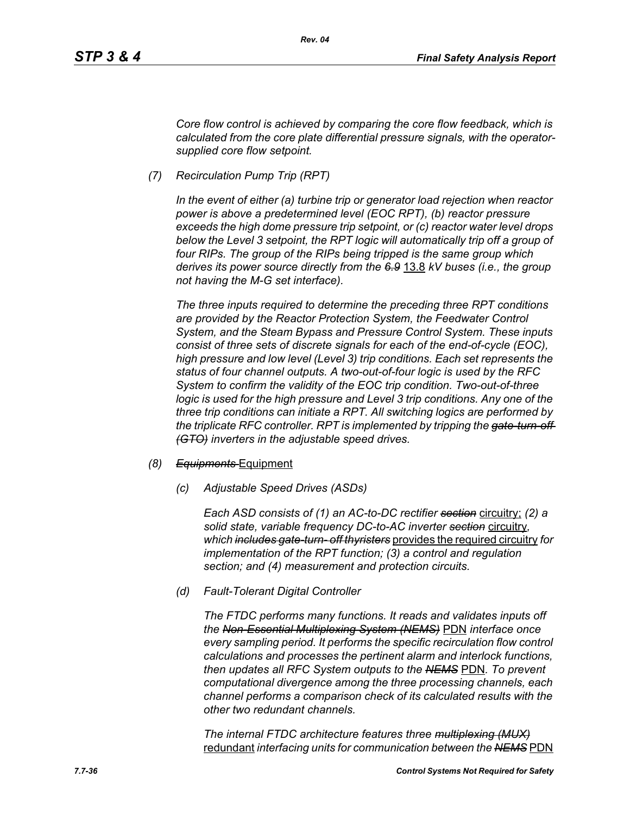*Core flow control is achieved by comparing the core flow feedback, which is calculated from the core plate differential pressure signals, with the operatorsupplied core flow setpoint.*

*(7) Recirculation Pump Trip (RPT)*

*In the event of either (a) turbine trip or generator load rejection when reactor power is above a predetermined level (EOC RPT), (b) reactor pressure exceeds the high dome pressure trip setpoint, or (c) reactor water level drops*  below the Level 3 setpoint, the RPT logic will automatically trip off a group of *four RIPs. The group of the RIPs being tripped is the same group which derives its power source directly from the 6.9* 13.8 *kV buses (i.e., the group not having the M-G set interface).*

*The three inputs required to determine the preceding three RPT conditions are provided by the Reactor Protection System, the Feedwater Control System, and the Steam Bypass and Pressure Control System. These inputs consist of three sets of discrete signals for each of the end-of-cycle (EOC), high pressure and low level (Level 3) trip conditions. Each set represents the status of four channel outputs. A two-out-of-four logic is used by the RFC System to confirm the validity of the EOC trip condition. Two-out-of-three logic is used for the high pressure and Level 3 trip conditions. Any one of the three trip conditions can initiate a RPT. All switching logics are performed by the triplicate RFC controller. RPT is implemented by tripping the gate-turn-off (GTO) inverters in the adjustable speed drives.*

## *(8) Equipments* Equipment

*(c) Adjustable Speed Drives (ASDs)*

*Each ASD consists of (1) an AC-to-DC rectifier section* circuitry; *(2) a solid state, variable frequency DC-to-AC inverter section* circuitry*, which includes gate-turn- off thyristers* provides the required circuitry *for implementation of the RPT function; (3) a control and regulation section; and (4) measurement and protection circuits.*

*(d) Fault-Tolerant Digital Controller*

*The FTDC performs many functions. It reads and validates inputs off the Non-Essential Multiplexing System (NEMS)* PDN *interface once every sampling period. It performs the specific recirculation flow control calculations and processes the pertinent alarm and interlock functions, then updates all RFC System outputs to the NEMS* PDN*. To prevent computational divergence among the three processing channels, each channel performs a comparison check of its calculated results with the other two redundant channels.*

*The internal FTDC architecture features three multiplexing (MUX)* redundant *interfacing units for communication between the NEMS* PDN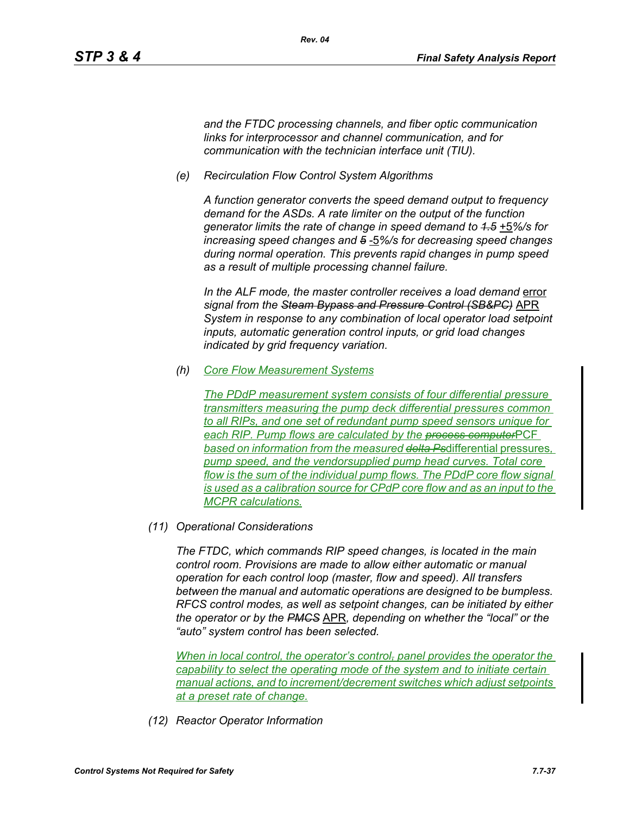*and the FTDC processing channels, and fiber optic communication links for interprocessor and channel communication, and for communication with the technician interface unit (TIU).*

*(e) Recirculation Flow Control System Algorithms*

*A function generator converts the speed demand output to frequency demand for the ASDs. A rate limiter on the output of the function generator limits the rate of change in speed demand to 1.5* +5*%/s for increasing speed changes and 5* -5*%/s for decreasing speed changes during normal operation. This prevents rapid changes in pump speed as a result of multiple processing channel failure.*

In the ALF mode, the master controller receives a load demand error *signal from the Steam Bypass and Pressure Control (SB&PC)* APR *System in response to any combination of local operator load setpoint inputs, automatic generation control inputs, or grid load changes indicated by grid frequency variation.*

*(h) Core Flow Measurement Systems*

*The PDdP measurement system consists of four differential pressure transmitters measuring the pump deck differential pressures common to all RIPs, and one set of redundant pump speed sensors unique for each RIP. Pump flows are calculated by the process computer*PCF *based on information from the measured delta Ps*differential pressures*, pump speed, and the vendorsupplied pump head curves. Total core flow is the sum of the individual pump flows. The PDdP core flow signal is used as a calibration source for CPdP core flow and as an input to the MCPR calculations.*

*(11) Operational Considerations*

*The FTDC, which commands RIP speed changes, is located in the main control room. Provisions are made to allow either automatic or manual operation for each control loop (master, flow and speed). All transfers between the manual and automatic operations are designed to be bumpless. RFCS control modes, as well as setpoint changes, can be initiated by either the operator or by the PMCS* APR*, depending on whether the "local" or the "auto" system control has been selected.*

*When in local control, the operator's control- panel provides the operator the capability to select the operating mode of the system and to initiate certain manual actions, and to increment/decrement switches which adjust setpoints at a preset rate of change.*

*(12) Reactor Operator Information*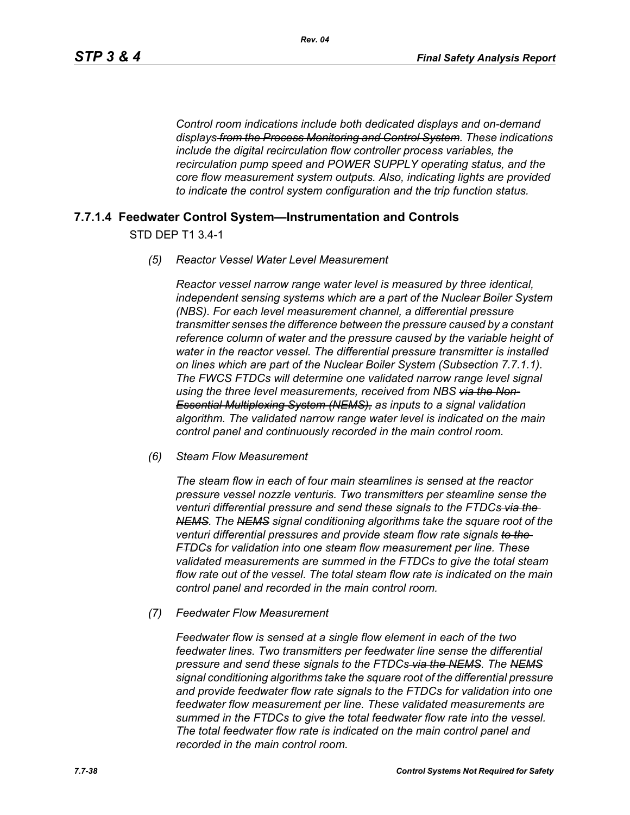*Control room indications include both dedicated displays and on-demand displays from the Process Monitoring and Control System. These indications include the digital recirculation flow controller process variables, the recirculation pump speed and POWER SUPPLY operating status, and the core flow measurement system outputs. Also, indicating lights are provided to indicate the control system configuration and the trip function status.*

## **7.7.1.4 Feedwater Control System—Instrumentation and Controls**

STD DEP T1 3.4-1

### *(5) Reactor Vessel Water Level Measurement*

*Reactor vessel narrow range water level is measured by three identical, independent sensing systems which are a part of the Nuclear Boiler System (NBS). For each level measurement channel, a differential pressure transmitter senses the difference between the pressure caused by a constant reference column of water and the pressure caused by the variable height of water in the reactor vessel. The differential pressure transmitter is installed on lines which are part of the Nuclear Boiler System (Subsection 7.7.1.1). The FWCS FTDCs will determine one validated narrow range level signal using the three level measurements, received from NBS via the Non-Essential Multiplexing System (NEMS), as inputs to a signal validation algorithm. The validated narrow range water level is indicated on the main control panel and continuously recorded in the main control room.*

### *(6) Steam Flow Measurement*

*The steam flow in each of four main steamlines is sensed at the reactor pressure vessel nozzle venturis. Two transmitters per steamline sense the venturi differential pressure and send these signals to the FTDCs via the NEMS. The NEMS signal conditioning algorithms take the square root of the venturi differential pressures and provide steam flow rate signals to the FTDCs for validation into one steam flow measurement per line. These validated measurements are summed in the FTDCs to give the total steam flow rate out of the vessel. The total steam flow rate is indicated on the main control panel and recorded in the main control room.*

*(7) Feedwater Flow Measurement*

*Feedwater flow is sensed at a single flow element in each of the two*  feedwater lines. Two transmitters per feedwater line sense the differential *pressure and send these signals to the FTDCs via the NEMS. The NEMS signal conditioning algorithms take the square root of the differential pressure and provide feedwater flow rate signals to the FTDCs for validation into one feedwater flow measurement per line. These validated measurements are summed in the FTDCs to give the total feedwater flow rate into the vessel. The total feedwater flow rate is indicated on the main control panel and recorded in the main control room.*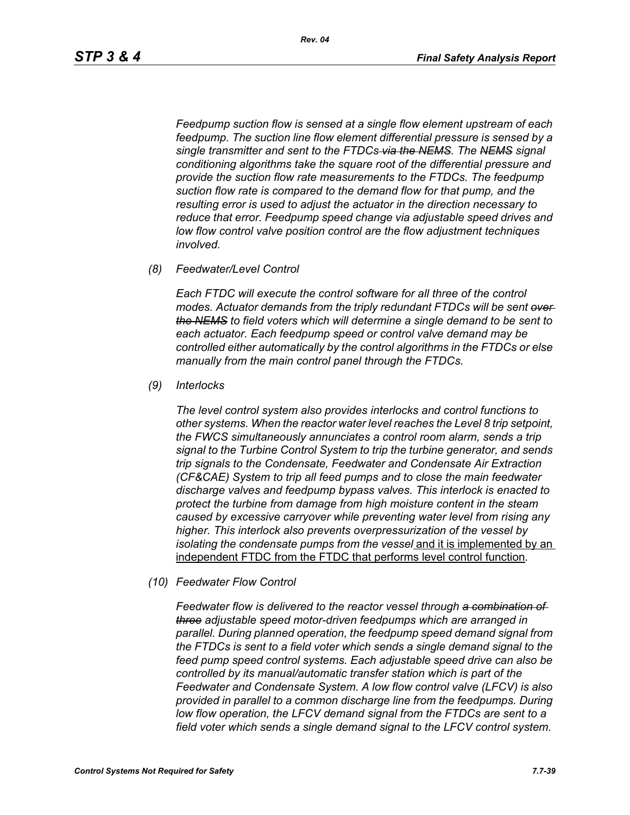*Feedpump suction flow is sensed at a single flow element upstream of each feedpump. The suction line flow element differential pressure is sensed by a single transmitter and sent to the FTDCs via the NEMS. The NEMS signal conditioning algorithms take the square root of the differential pressure and provide the suction flow rate measurements to the FTDCs. The feedpump suction flow rate is compared to the demand flow for that pump, and the resulting error is used to adjust the actuator in the direction necessary to reduce that error. Feedpump speed change via adjustable speed drives and low flow control valve position control are the flow adjustment techniques involved.*

*(8) Feedwater/Level Control*

*Each FTDC will execute the control software for all three of the control modes. Actuator demands from the triply redundant FTDCs will be sent over the NEMS to field voters which will determine a single demand to be sent to each actuator. Each feedpump speed or control valve demand may be controlled either automatically by the control algorithms in the FTDCs or else manually from the main control panel through the FTDCs.*

*(9) Interlocks*

*The level control system also provides interlocks and control functions to other systems. When the reactor water level reaches the Level 8 trip setpoint, the FWCS simultaneously annunciates a control room alarm, sends a trip signal to the Turbine Control System to trip the turbine generator, and sends trip signals to the Condensate, Feedwater and Condensate Air Extraction (CF&CAE) System to trip all feed pumps and to close the main feedwater discharge valves and feedpump bypass valves. This interlock is enacted to protect the turbine from damage from high moisture content in the steam caused by excessive carryover while preventing water level from rising any higher. This interlock also prevents overpressurization of the vessel by isolating the condensate pumps from the vessel* and it is implemented by an independent FTDC from the FTDC that performs level control function*.*

*(10) Feedwater Flow Control*

*Feedwater flow is delivered to the reactor vessel through a combination of three adjustable speed motor-driven feedpumps which are arranged in parallel. During planned operation, the feedpump speed demand signal from the FTDCs is sent to a field voter which sends a single demand signal to the feed pump speed control systems. Each adjustable speed drive can also be controlled by its manual/automatic transfer station which is part of the Feedwater and Condensate System. A low flow control valve (LFCV) is also provided in parallel to a common discharge line from the feedpumps. During low flow operation, the LFCV demand signal from the FTDCs are sent to a field voter which sends a single demand signal to the LFCV control system.*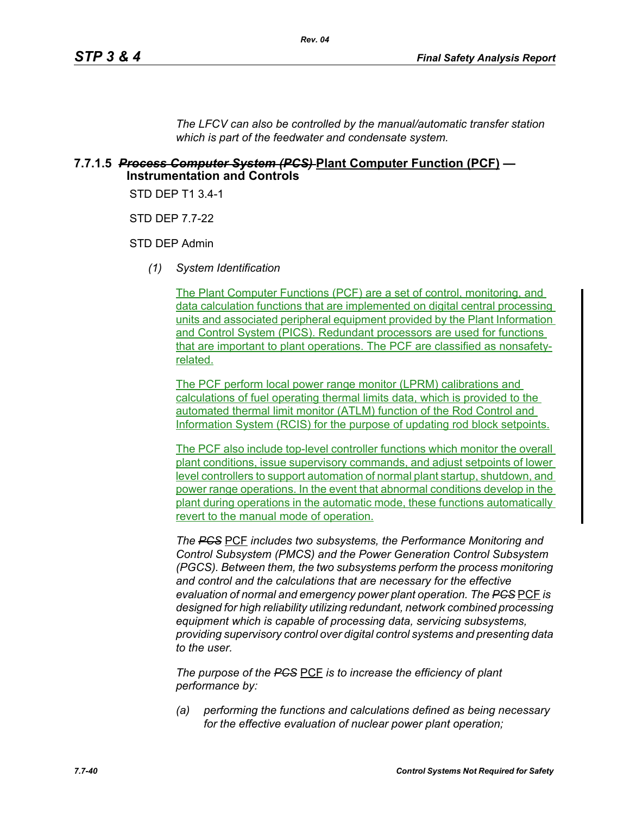*The LFCV can also be controlled by the manual/automatic transfer station which is part of the feedwater and condensate system.*

## **7.7.1.5** *Process Computer System (PCS)* **Plant Computer Function (PCF) — Instrumentation and Controls**

STD DEP T1 3.4-1

STD DEP 7.7-22

STD DEP Admin

*(1) System Identification*

The Plant Computer Functions (PCF) are a set of control, monitoring, and data calculation functions that are implemented on digital central processing units and associated peripheral equipment provided by the Plant Information and Control System (PICS). Redundant processors are used for functions that are important to plant operations. The PCF are classified as nonsafetyrelated.

The PCF perform local power range monitor (LPRM) calibrations and calculations of fuel operating thermal limits data, which is provided to the automated thermal limit monitor (ATLM) function of the Rod Control and Information System (RCIS) for the purpose of updating rod block setpoints.

The PCF also include top-level controller functions which monitor the overall plant conditions, issue supervisory commands, and adjust setpoints of lower level controllers to support automation of normal plant startup, shutdown, and power range operations. In the event that abnormal conditions develop in the plant during operations in the automatic mode, these functions automatically revert to the manual mode of operation.

*The PCS* PCF *includes two subsystems, the Performance Monitoring and Control Subsystem (PMCS) and the Power Generation Control Subsystem (PGCS). Between them, the two subsystems perform the process monitoring and control and the calculations that are necessary for the effective evaluation of normal and emergency power plant operation. The PCS* PCF *is designed for high reliability utilizing redundant, network combined processing equipment which is capable of processing data, servicing subsystems, providing supervisory control over digital control systems and presenting data to the user.*

*The purpose of the PCS* PCF *is to increase the efficiency of plant performance by:*

*(a) performing the functions and calculations defined as being necessary for the effective evaluation of nuclear power plant operation;*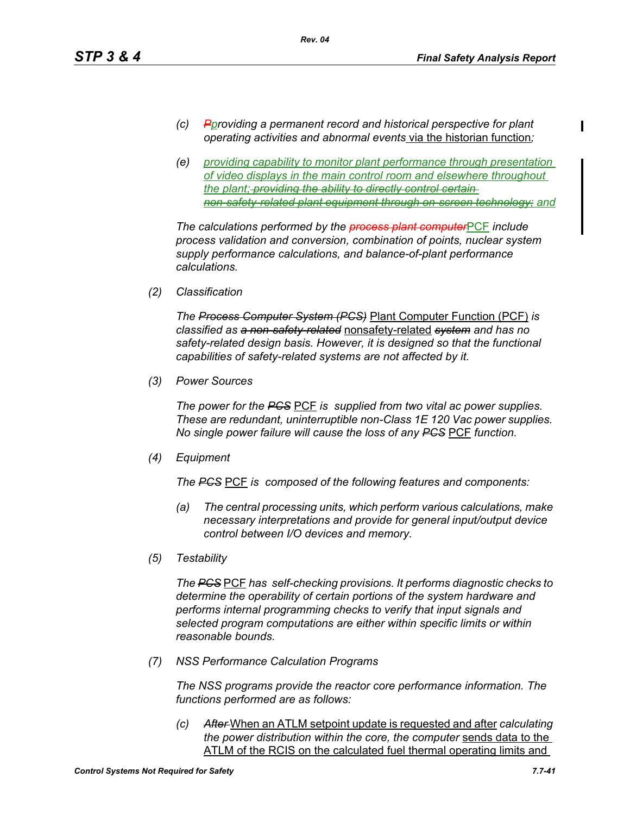- *(c) Pproviding a permanent record and historical perspective for plant operating activities and abnormal events* via the historian function*;*
- *(e) providing capability to monitor plant performance through presentation of video displays in the main control room and elsewhere throughout the plant; providing the ability to directly control certain non-safety-related plant equipment through on-screen technology; and*

*The calculations performed by the process plant computer*PCF *include process validation and conversion, combination of points, nuclear system supply performance calculations, and balance-of-plant performance calculations.*

*(2) Classification*

*The Process Computer System (PCS)* Plant Computer Function (PCF) *is classified as a non-safety-related* nonsafety-related *system and has no safety-related design basis. However, it is designed so that the functional capabilities of safety-related systems are not affected by it.*

*(3) Power Sources*

*The power for the PCS* PCF *is supplied from two vital ac power supplies. These are redundant, uninterruptible non-Class 1E 120 Vac power supplies. No single power failure will cause the loss of any PCS* PCF *function.*

*(4) Equipment*

*The PCS* PCF *is composed of the following features and components:*

- *(a) The central processing units, which perform various calculations, make necessary interpretations and provide for general input/output device control between I/O devices and memory.*
- *(5) Testability*

*The PCS* PCF *has self-checking provisions. It performs diagnostic checks to determine the operability of certain portions of the system hardware and performs internal programming checks to verify that input signals and selected program computations are either within specific limits or within reasonable bounds.*

*(7) NSS Performance Calculation Programs*

*The NSS programs provide the reactor core performance information. The functions performed are as follows:*

*(c) After* When an ATLM setpoint update is requested and after *calculating the power distribution within the core, the computer* sends data to the ATLM of the RCIS on the calculated fuel thermal operating limits and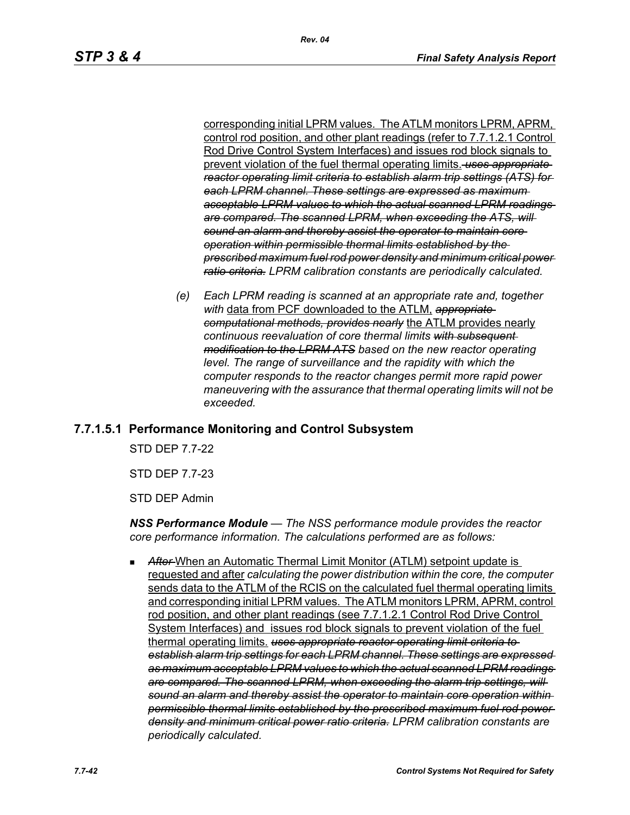corresponding initial LPRM values. The ATLM monitors LPRM, APRM, control rod position, and other plant readings (refer to 7.7.1.2.1 Control Rod Drive Control System Interfaces) and issues rod block signals to prevent violation of the fuel thermal operating limits. *uses appropriate reactor operating limit criteria to establish alarm trip settings (ATS) for each LPRM channel. These settings are expressed as maximum acceptable LPRM values to which the actual scanned LPRM readings are compared. The scanned LPRM, when exceeding the ATS, will sound an alarm and thereby assist the operator to maintain core operation within permissible thermal limits established by the prescribed maximum fuel rod power density and minimum critical power ratio criteria. LPRM calibration constants are periodically calculated.*

*(e) Each LPRM reading is scanned at an appropriate rate and, together with* data from PCF downloaded to the ATLM, *appropriate computational methods, provides nearly* the ATLM provides nearly *continuous reevaluation of core thermal limits with subsequent modification to the LPRM ATS based on the new reactor operating*  level. The range of surveillance and the rapidity with which the *computer responds to the reactor changes permit more rapid power maneuvering with the assurance that thermal operating limits will not be exceeded.*

# **7.7.1.5.1 Performance Monitoring and Control Subsystem**

STD DEP 7.7-22

STD DEP 7.7-23

STD DEP Admin

*NSS Performance Module — The NSS performance module provides the reactor core performance information. The calculations performed are as follows:*

 *After* When an Automatic Thermal Limit Monitor (ATLM) setpoint update is requested and after *calculating the power distribution within the core, the computer*  sends data to the ATLM of the RCIS on the calculated fuel thermal operating limits and corresponding initial LPRM values. The ATLM monitors LPRM, APRM, control rod position, and other plant readings (see 7.7.1.2.1 Control Rod Drive Control System Interfaces) and issues rod block signals to prevent violation of the fuel thermal operating limits. *uses appropriate reactor operating limit criteria to establish alarm trip settings for each LPRM channel. These settings are expressed as maximum acceptable LPRM values to which the actual scanned LPRM readings are compared. The scanned LPRM, when exceeding the alarm trip settings, will sound an alarm and thereby assist the operator to maintain core operation within permissible thermal limits established by the prescribed maximum fuel rod power density and minimum critical power ratio criteria. LPRM calibration constants are periodically calculated.*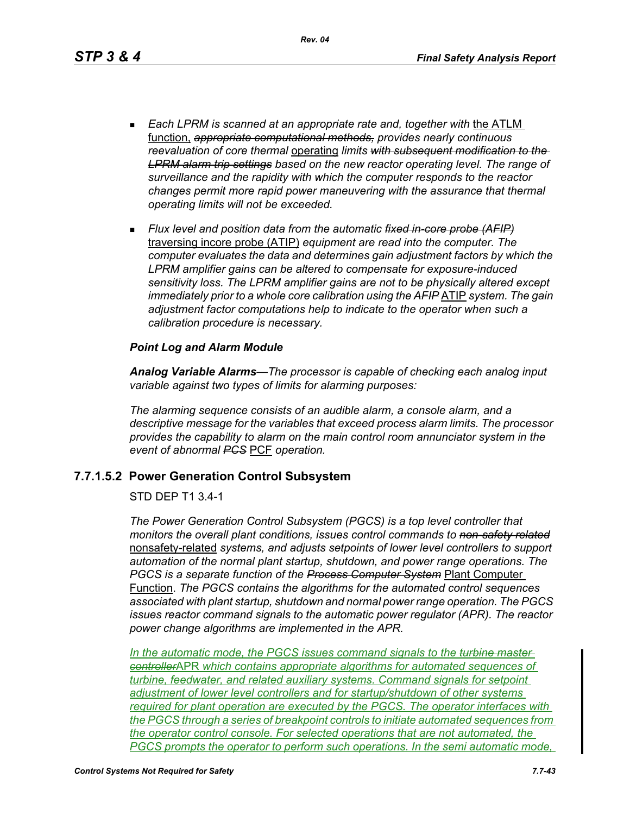*Rev. 04*

- **Each LPRM is scanned at an appropriate rate and, together with the ATLM** function, *appropriate computational methods, provides nearly continuous reevaluation of core thermal* operating *limits with subsequent modification to the LPRM alarm trip settings based on the new reactor operating level. The range of surveillance and the rapidity with which the computer responds to the reactor changes permit more rapid power maneuvering with the assurance that thermal operating limits will not be exceeded.*
- *Flux level and position data from the automatic fixed in-core probe (AFIP)* traversing incore probe (ATIP) *equipment are read into the computer. The computer evaluates the data and determines gain adjustment factors by which the LPRM amplifier gains can be altered to compensate for exposure-induced sensitivity loss. The LPRM amplifier gains are not to be physically altered except immediately prior to a whole core calibration using the AFIP* ATIP *system. The gain adjustment factor computations help to indicate to the operator when such a calibration procedure is necessary.*

### *Point Log and Alarm Module*

*Analog Variable Alarms—The processor is capable of checking each analog input variable against two types of limits for alarming purposes:*

*The alarming sequence consists of an audible alarm, a console alarm, and a descriptive message for the variables that exceed process alarm limits. The processor provides the capability to alarm on the main control room annunciator system in the event of abnormal PCS* PCF *operation.*

## **7.7.1.5.2 Power Generation Control Subsystem**

### STD DEP T1 3.4-1

*The Power Generation Control Subsystem (PGCS) is a top level controller that monitors the overall plant conditions, issues control commands to non-safety related* nonsafety-related *systems, and adjusts setpoints of lower level controllers to support automation of the normal plant startup, shutdown, and power range operations. The PGCS is a separate function of the Process Computer System* Plant Computer Function. *The PGCS contains the algorithms for the automated control sequences associated with plant startup, shutdown and normal power range operation. The PGCS issues reactor command signals to the automatic power regulator (APR). The reactor power change algorithms are implemented in the APR.*

*In the automatic mode, the PGCS issues command signals to the turbine master controller*APR *which contains appropriate algorithms for automated sequences of turbine, feedwater, and related auxiliary systems. Command signals for setpoint adjustment of lower level controllers and for startup/shutdown of other systems required for plant operation are executed by the PGCS. The operator interfaces with the PGCS through a series of breakpoint controls to initiate automated sequences from the operator control console. For selected operations that are not automated, the PGCS prompts the operator to perform such operations. In the semi automatic mode,*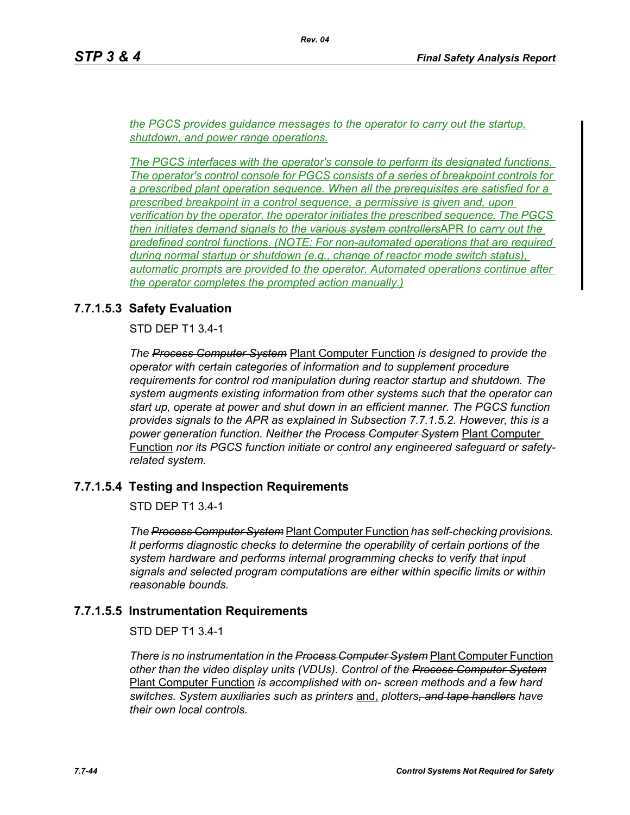*the PGCS provides guidance messages to the operator to carry out the startup, shutdown, and power range operations.*

*The PGCS interfaces with the operator's console to perform its designated functions. The operator's control console for PGCS consists of a series of breakpoint controls for a prescribed plant operation sequence. When all the prerequisites are satisfied for a prescribed breakpoint in a control sequence, a permissive is given and, upon verification by the operator, the operator initiates the prescribed sequence. The PGCS then initiates demand signals to the various system controllers*APR *to carry out the predefined control functions. (NOTE: For non-automated operations that are required during normal startup or shutdown (e.g., change of reactor mode switch status), automatic prompts are provided to the operator. Automated operations continue after the operator completes the prompted action manually.)*

# **7.7.1.5.3 Safety Evaluation**

STD DEP T1 3.4-1

*The Process Computer System* Plant Computer Function *is designed to provide the operator with certain categories of information and to supplement procedure requirements for control rod manipulation during reactor startup and shutdown. The system augments existing information from other systems such that the operator can start up, operate at power and shut down in an efficient manner. The PGCS function provides signals to the APR as explained in Subsection 7.7.1.5.2. However, this is a power generation function. Neither the Process Computer System* Plant Computer Function *nor its PGCS function initiate or control any engineered safeguard or safetyrelated system.*

# **7.7.1.5.4 Testing and Inspection Requirements**

STD DEP T1 3.4-1

*The Process Computer System* Plant Computer Function *has self-checking provisions. It performs diagnostic checks to determine the operability of certain portions of the system hardware and performs internal programming checks to verify that input signals and selected program computations are either within specific limits or within reasonable bounds.*

# **7.7.1.5.5 Instrumentation Requirements**

# STD DEP T1 3.4-1

*There is no instrumentation in the Process Computer System* Plant Computer Function *other than the video display units (VDUs). Control of the Process Computer System* Plant Computer Function *is accomplished with on- screen methods and a few hard switches. System auxiliaries such as printers* and, *plotters, and tape handlers have their own local controls.*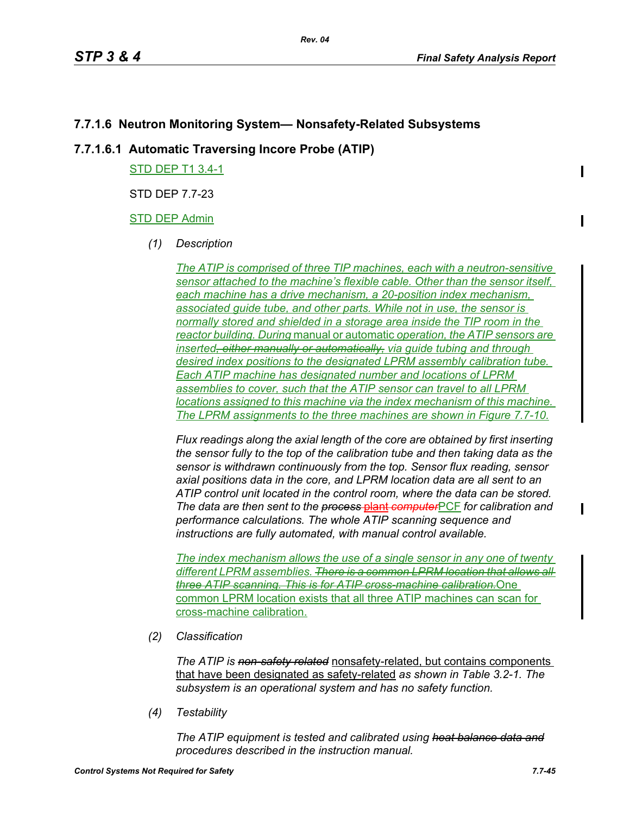# **7.7.1.6 Neutron Monitoring System— Nonsafety-Related Subsystems**

# **7.7.1.6.1 Automatic Traversing Incore Probe (ATIP)**

STD DEP T1 3.4-1

STD DEP 7.7-23

## STD DEP Admin

*(1) Description*

*The ATIP is comprised of three TIP machines, each with a neutron-sensitive sensor attached to the machine's flexible cable. Other than the sensor itself, each machine has a drive mechanism, a 20-position index mechanism, associated guide tube, and other parts. While not in use, the sensor is normally stored and shielded in a storage area inside the TIP room in the reactor building. During* manual or automatic *operation, the ATIP sensors are inserted, either manually or automatically, via guide tubing and through desired index positions to the designated LPRM assembly calibration tube. Each ATIP machine has designated number and locations of LPRM assemblies to cover, such that the ATIP sensor can travel to all LPRM locations assigned to this machine via the index mechanism of this machine. The LPRM assignments to the three machines are shown in Figure 7.7-10.*

*Flux readings along the axial length of the core are obtained by first inserting the sensor fully to the top of the calibration tube and then taking data as the sensor is withdrawn continuously from the top. Sensor flux reading, sensor axial positions data in the core, and LPRM location data are all sent to an ATIP control unit located in the control room, where the data can be stored. The data are then sent to the process* plant *computer*PCF *for calibration and performance calculations. The whole ATIP scanning sequence and instructions are fully automated, with manual control available.*

*The index mechanism allows the use of a single sensor in any one of twenty different LPRM assemblies. There is a common LPRM location that allows all three ATIP scanning. This is for ATIP cross-machine calibration.*One common LPRM location exists that all three ATIP machines can scan for cross-machine calibration.

*(2) Classification*

*The ATIP is non-safety related* nonsafety-related, but contains components that have been designated as safety-related *as shown in Table 3.2-1. The subsystem is an operational system and has no safety function.*

*(4) Testability*

*The ATIP equipment is tested and calibrated using heat balance data and procedures described in the instruction manual.*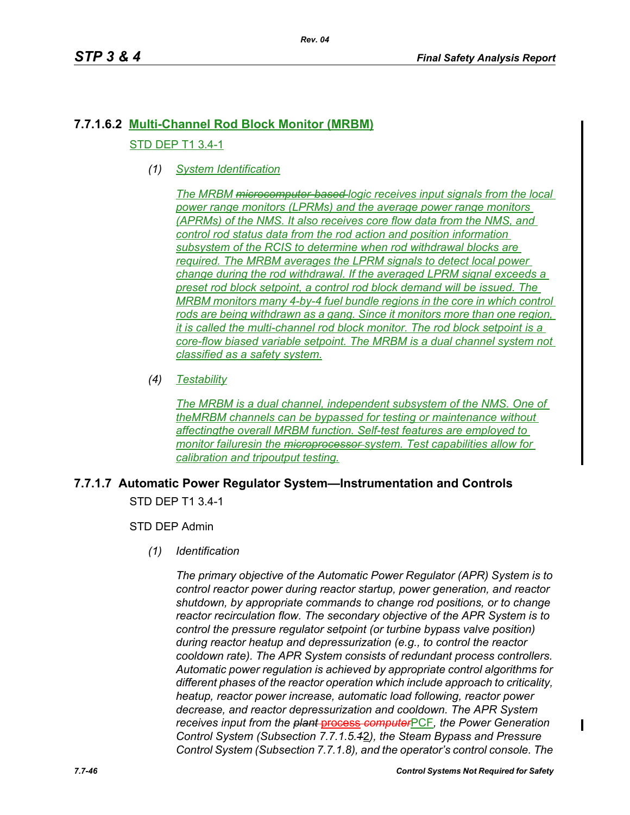# **7.7.1.6.2 Multi-Channel Rod Block Monitor (MRBM)** STD DEP T1 3.4-1

*(1) System Identification*

*The MRBM microcomputer-based logic receives input signals from the local power range monitors (LPRMs) and the average power range monitors (APRMs) of the NMS. It also receives core flow data from the NMS, and control rod status data from the rod action and position information subsystem of the RCIS to determine when rod withdrawal blocks are required. The MRBM averages the LPRM signals to detect local power change during the rod withdrawal. If the averaged LPRM signal exceeds a preset rod block setpoint, a control rod block demand will be issued. The MRBM monitors many 4-by-4 fuel bundle regions in the core in which control rods are being withdrawn as a gang. Since it monitors more than one region, it is called the multi-channel rod block monitor. The rod block setpoint is a core-flow biased variable setpoint. The MRBM is a dual channel system not classified as a safety system.*

*(4) Testability*

*The MRBM is a dual channel, independent subsystem of the NMS. One of theMRBM channels can be bypassed for testing or maintenance without affectingthe overall MRBM function. Self-test features are employed to monitor failuresin the microprocessor system. Test capabilities allow for calibration and tripoutput testing.*

# **7.7.1.7 Automatic Power Regulator System—Instrumentation and Controls** STD DEP T1 3.4-1

STD DEP Admin

*(1) Identification*

*The primary objective of the Automatic Power Regulator (APR) System is to control reactor power during reactor startup, power generation, and reactor shutdown, by appropriate commands to change rod positions, or to change reactor recirculation flow. The secondary objective of the APR System is to control the pressure regulator setpoint (or turbine bypass valve position) during reactor heatup and depressurization (e.g., to control the reactor cooldown rate). The APR System consists of redundant process controllers. Automatic power regulation is achieved by appropriate control algorithms for different phases of the reactor operation which include approach to criticality, heatup, reactor power increase, automatic load following, reactor power decrease, and reactor depressurization and cooldown. The APR System receives input from the plant* process *computer*PCF*, the Power Generation Control System (Subsection 7.7.1.5.1*2*), the Steam Bypass and Pressure Control System (Subsection 7.7.1.8), and the operator's control console. The* 

I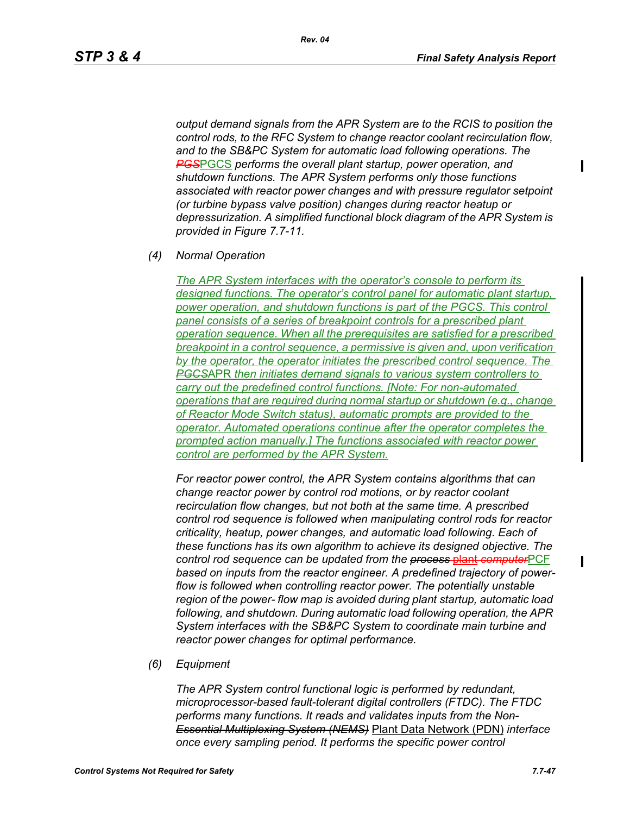*output demand signals from the APR System are to the RCIS to position the control rods, to the RFC System to change reactor coolant recirculation flow, and to the SB&PC System for automatic load following operations. The PGS*PGCS *performs the overall plant startup, power operation, and shutdown functions. The APR System performs only those functions associated with reactor power changes and with pressure regulator setpoint (or turbine bypass valve position) changes during reactor heatup or depressurization. A simplified functional block diagram of the APR System is provided in Figure 7.7-11.*

*(4) Normal Operation*

*The APR System interfaces with the operator's console to perform its designed functions. The operator's control panel for automatic plant startup,*  power operation, and shutdown functions is part of the PGCS. This control *panel consists of a series of breakpoint controls for a prescribed plant operation sequence. When all the prerequisites are satisfied for a prescribed breakpoint in a control sequence, a permissive is given and, upon verification by the operator, the operator initiates the prescribed control sequence. The PGCS*APR *then initiates demand signals to various system controllers to carry out the predefined control functions. [Note: For non-automated operations that are required during normal startup or shutdown (e.g., change of Reactor Mode Switch status), automatic prompts are provided to the operator. Automated operations continue after the operator completes the prompted action manually.] The functions associated with reactor power control are performed by the APR System.*

*For reactor power control, the APR System contains algorithms that can change reactor power by control rod motions, or by reactor coolant recirculation flow changes, but not both at the same time. A prescribed control rod sequence is followed when manipulating control rods for reactor criticality, heatup, power changes, and automatic load following. Each of these functions has its own algorithm to achieve its designed objective. The control rod sequence can be updated from the process* plant *computer*PCF *based on inputs from the reactor engineer. A predefined trajectory of powerflow is followed when controlling reactor power. The potentially unstable region of the power- flow map is avoided during plant startup, automatic load following, and shutdown. During automatic load following operation, the APR System interfaces with the SB&PC System to coordinate main turbine and reactor power changes for optimal performance.*

*(6) Equipment*

*The APR System control functional logic is performed by redundant, microprocessor-based fault-tolerant digital controllers (FTDC). The FTDC performs many functions. It reads and validates inputs from the Non-Essential Multiplexing System (NEMS)* Plant Data Network (PDN) *interface once every sampling period. It performs the specific power control*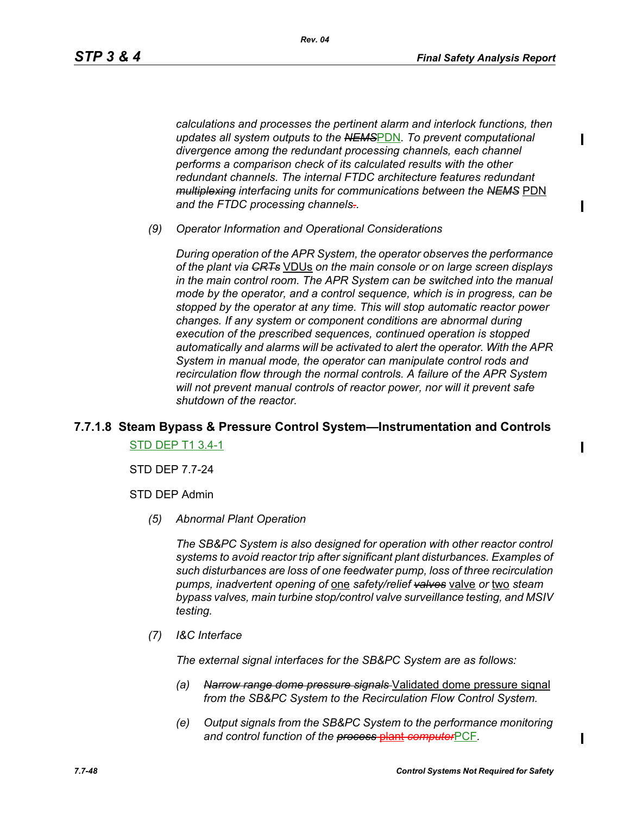*calculations and processes the pertinent alarm and interlock functions, then updates all system outputs to the NEMS*PDN*. To prevent computational divergence among the redundant processing channels, each channel performs a comparison check of its calculated results with the other redundant channels. The internal FTDC architecture features redundant multiplexing interfacing units for communications between the NEMS* PDN *and the FTDC processing channels..*

*(9) Operator Information and Operational Considerations*

*During operation of the APR System, the operator observes the performance of the plant via CRTs* VDUs *on the main console or on large screen displays in the main control room. The APR System can be switched into the manual mode by the operator, and a control sequence, which is in progress, can be stopped by the operator at any time. This will stop automatic reactor power changes. If any system or component conditions are abnormal during execution of the prescribed sequences, continued operation is stopped automatically and alarms will be activated to alert the operator. With the APR System in manual mode, the operator can manipulate control rods and recirculation flow through the normal controls. A failure of the APR System will not prevent manual controls of reactor power, nor will it prevent safe shutdown of the reactor.*

# **7.7.1.8 Steam Bypass & Pressure Control System—Instrumentation and Controls** STD DEP T1 3.4-1

STD DEP 7.7-24

STD DEP Admin

*(5) Abnormal Plant Operation*

*The SB&PC System is also designed for operation with other reactor control systems to avoid reactor trip after significant plant disturbances. Examples of such disturbances are loss of one feedwater pump, loss of three recirculation pumps, inadvertent opening of* one *safety/relief valves* valve *or* two *steam bypass valves, main turbine stop/control valve surveillance testing, and MSIV testing.*

*(7) I&C Interface*

*The external signal interfaces for the SB&PC System are as follows:*

- *(a) Narrow range dome pressure signals* Validated dome pressure signal *from the SB&PC System to the Recirculation Flow Control System.*
- *(e) Output signals from the SB&PC System to the performance monitoring and control function of the process* plant *computer*PCF*.*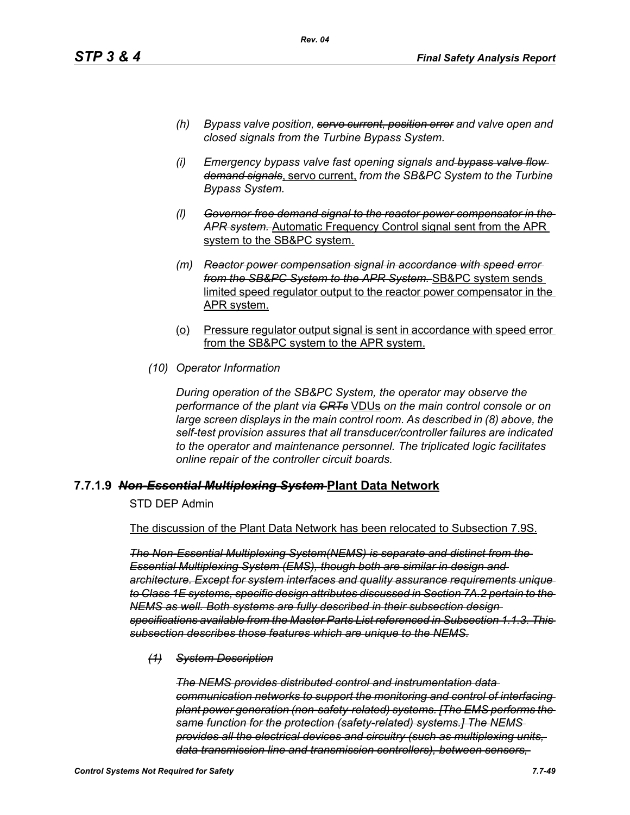- *(h) Bypass valve position, servo current, position error and valve open and closed signals from the Turbine Bypass System.*
- *(i) Emergency bypass valve fast opening signals and bypass valve flow demand signals*, servo current, *from the SB&PC System to the Turbine Bypass System.*
- *(l) Governor-free demand signal to the reactor power compensator in the APR system.* Automatic Frequency Control signal sent from the APR system to the SB&PC system.
- *(m) Reactor power compensation signal in accordance with speed error from the SB&PC System to the APR System.* SB&PC system sends limited speed regulator output to the reactor power compensator in the APR system.
- (o) Pressure regulator output signal is sent in accordance with speed error from the SB&PC system to the APR system.
- *(10) Operator Information*

*During operation of the SB&PC System, the operator may observe the performance of the plant via CRTs* VDUs *on the main control console or on large screen displays in the main control room. As described in (8) above, the self-test provision assures that all transducer/controller failures are indicated to the operator and maintenance personnel. The triplicated logic facilitates online repair of the controller circuit boards.*

## **7.7.1.9** *Non-Essential Multiplexing System* **Plant Data Network**

STD DEP Admin

The discussion of the Plant Data Network has been relocated to Subsection 7.9S.

*The Non-Essential Multiplexing System(NEMS) is separate and distinct from the Essential Multiplexing System (EMS), though both are similar in design and architecture. Except for system interfaces and quality assurance requirements unique to Class 1E systems, specific design attributes discussed in Section 7A.2 pertain to the NEMS as well. Both systems are fully described in their subsection design specifications available from the Master Parts List referenced in Subsection 1.1.3. This subsection describes those features which are unique to the NEMS.*

*(1) System Description*

*The NEMS provides distributed control and instrumentation data communication networks to support the monitoring and control of interfacing plant power generation (non-safety-related) systems. [The EMS performs the same function for the protection (safety-related) systems.] The NEMS provides all the electrical devices and circuitry (such as multiplexing units, data transmission line and transmission controllers), between sensors,*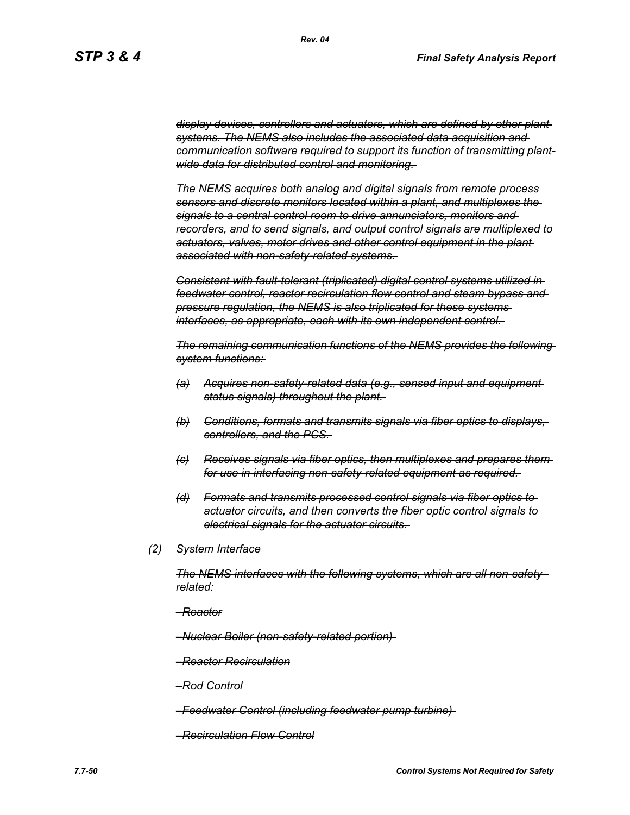*display devices, controllers and actuators, which are defined by other plant systems. The NEMS also includes the associated data acquisition and communication software required to support its function of transmitting plantwide data for distributed control and monitoring.* 

*The NEMS acquires both analog and digital signals from remote process sensors and discrete monitors located within a plant, and multiplexes the signals to a central control room to drive annunciators, monitors and recorders, and to send signals, and output control signals are multiplexed to actuators, valves, motor drives and other control equipment in the plant associated with non-safety-related systems.* 

*Consistent with fault-tolerant (triplicated) digital control systems utilized in feedwater control, reactor recirculation flow control and steam bypass and pressure regulation, the NEMS is also triplicated for these systems interfaces, as appropriate, each with its own independent control.* 

*The remaining communication functions of the NEMS provides the following system functions:* 

- *(a) Acquires non-safety-related data (e.g., sensed input and equipment status signals) throughout the plant.*
- *(b) Conditions, formats and transmits signals via fiber optics to displays, controllers, and the PCS.*
- *(c) Receives signals via fiber optics, then multiplexes and prepares them for use in interfacing non-safety-related equipment as required.*
- *(d) Formats and transmits processed control signals via fiber optics to actuator circuits, and then converts the fiber optic control signals to electrical signals for the actuator circuits.*
- *(2) System Interface*

*The NEMS interfaces with the following systems, which are all non-safetyrelated:* 

- *–Reactor*
- *–Nuclear Boiler (non-safety-related portion)*
- *–Reactor Recirculation*
- *–Rod Control*
- *–Feedwater Control (including feedwater pump turbine)*
- *–Recirculation Flow Control*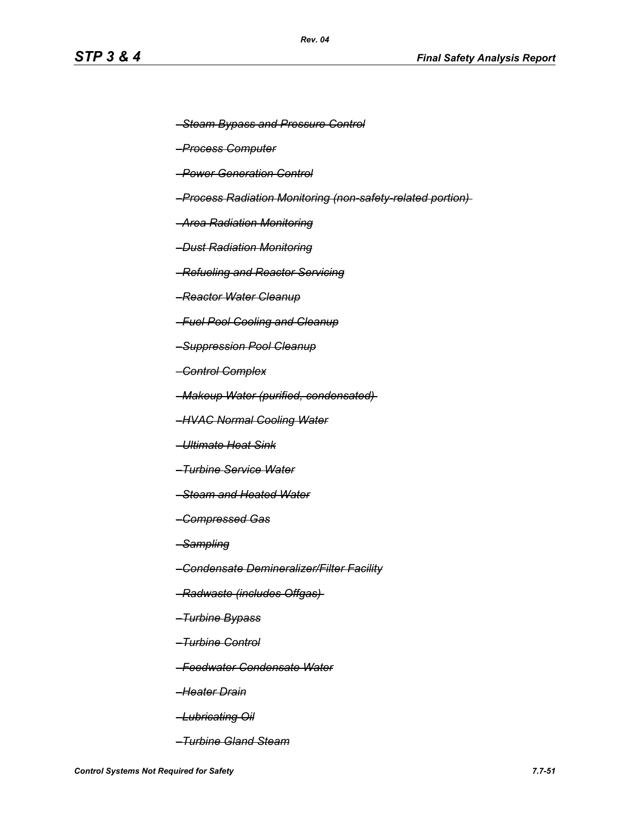- *–Steam Bypass and Pressure Control*
- *–Process Computer*
- *–Power Generation Control*
- *–Process Radiation Monitoring (non-safety-related portion)*
- *–Area Radiation Monitoring*
- *–Dust Radiation Monitoring*
- *–Refueling and Reactor Servicing*
- *–Reactor Water Cleanup*
- *–Fuel Pool Cooling and Cleanup*
- *–Suppression Pool Cleanup*
- *–Control Complex*
- *–Makeup Water (purified, condensated)*
- *–HVAC Normal Cooling Water*
- *–Ultimate Heat Sink*
- *–Turbine Service Water*
- *–Steam and Heated Water*
- *–Compressed Gas*
- *–Sampling*
- *–Condensate Demineralizer/Filter Facility*
- *–Radwaste (includes Offgas)*
- *–Turbine Bypass*
- *–Turbine Control*
- *–Feedwater Condensate Water*
- *–Heater Drain*
- *–Lubricating Oil*
- *–Turbine Gland Steam*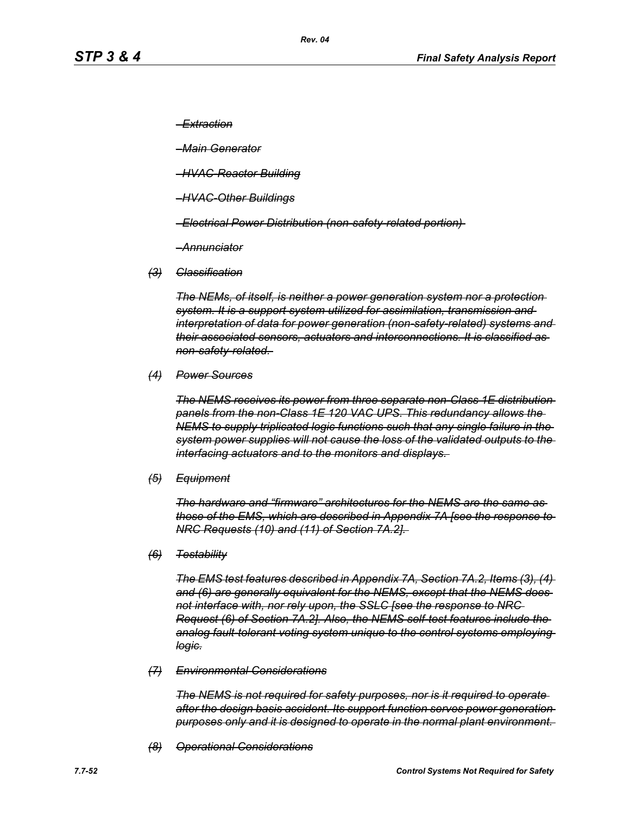*–Extraction*

*–Main Generator*

- *–HVAC-Reactor Building*
- *–HVAC-Other Buildings*
- *–Electrical Power Distribution (non-safety-related portion)*
- *–Annunciator*
- *(3) Classification*

*The NEMs, of itself, is neither a power generation system nor a protection system. It is a support system utilized for assimilation, transmission and interpretation of data for power generation (non-safety-related) systems and their associated sensors, actuators and interconnections. It is classified as non-safety-related.* 

*(4) Power Sources*

*The NEMS receives its power from three separate non-Class 1E distribution panels from the non-Class 1E 120 VAC UPS. This redundancy allows the NEMS to supply triplicated logic functions such that any single failure in the system power supplies will not cause the loss of the validated outputs to the interfacing actuators and to the monitors and displays.* 

*(5) Equipment*

*The hardware and "firmware" architectures for the NEMS are the same as those of the EMS, which are described in Appendix 7A [see the response to NRC Requests (10) and (11) of Section 7A.2].* 

*(6) Testability*

*The EMS test features described in Appendix 7A, Section 7A.2, Items (3), (4) and (6) are generally equivalent for the NEMS, except that the NEMS does not interface with, nor rely upon, the SSLC [see the response to NRC Request (6) of Section 7A.2]. Also, the NEMS self-test features include the analog fault-tolerant voting system unique to the control systems employing logic.*

*(7) Environmental Considerations*

*The NEMS is not required for safety purposes, nor is it required to operate after the design basis accident. Its support function serves power generation purposes only and it is designed to operate in the normal plant environment.* 

*(8) Operational Considerations*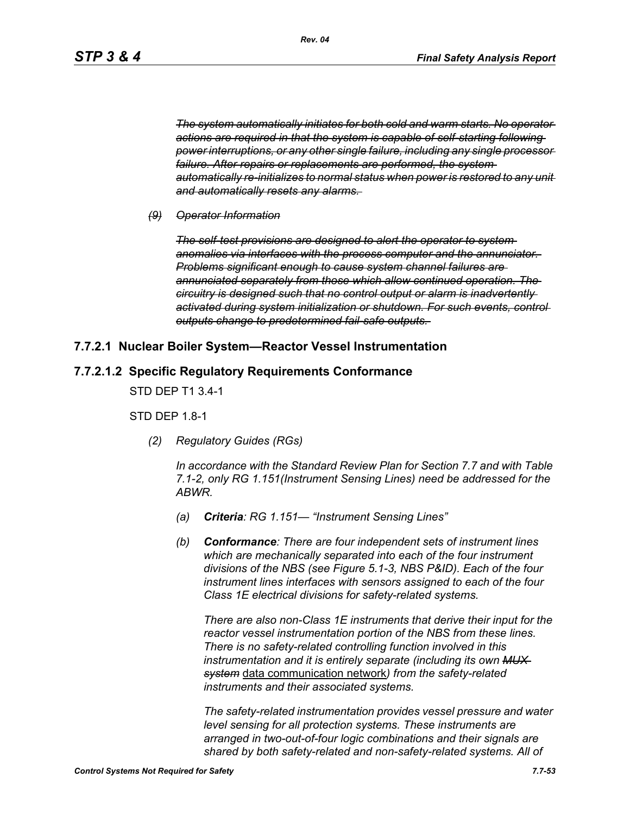*The system automatically initiates for both cold and warm starts. No operator actions are required in that the system is capable of self-starting following power interruptions, or any other single failure, including any single processor*  failure. After repairs or replacements are performed, the system*automatically re-initializes to normal status when power is restored to any unit and automatically resets any alarms.* 

### *(9) Operator Information*

*The self-test provisions are designed to alert the operator to system anomalies via interfaces with the process computer and the annunciator. Problems significant enough to cause system channel failures are annunciated separately from those which allow continued operation. The circuitry is designed such that no control output or alarm is inadvertently activated during system initialization or shutdown. For such events, control outputs change to predetermined fail-safe outputs.* 

# **7.7.2.1 Nuclear Boiler System—Reactor Vessel Instrumentation**

## **7.7.2.1.2 Specific Regulatory Requirements Conformance**

STD DEP T1 3.4-1

**STD DFP 18-1** 

*(2) Regulatory Guides (RGs)*

*In accordance with the Standard Review Plan for Section 7.7 and with Table 7.1-2, only RG 1.151(Instrument Sensing Lines) need be addressed for the ABWR.*

- *(a) Criteria: RG 1.151— "Instrument Sensing Lines"*
- *(b) Conformance: There are four independent sets of instrument lines which are mechanically separated into each of the four instrument divisions of the NBS (see Figure 5.1-3, NBS P&ID). Each of the four instrument lines interfaces with sensors assigned to each of the four Class 1E electrical divisions for safety-related systems.*

*There are also non-Class 1E instruments that derive their input for the reactor vessel instrumentation portion of the NBS from these lines. There is no safety-related controlling function involved in this instrumentation and it is entirely separate (including its own MUX system* data communication network*) from the safety-related instruments and their associated systems.*

*The safety-related instrumentation provides vessel pressure and water level sensing for all protection systems. These instruments are arranged in two-out-of-four logic combinations and their signals are shared by both safety-related and non-safety-related systems. All of*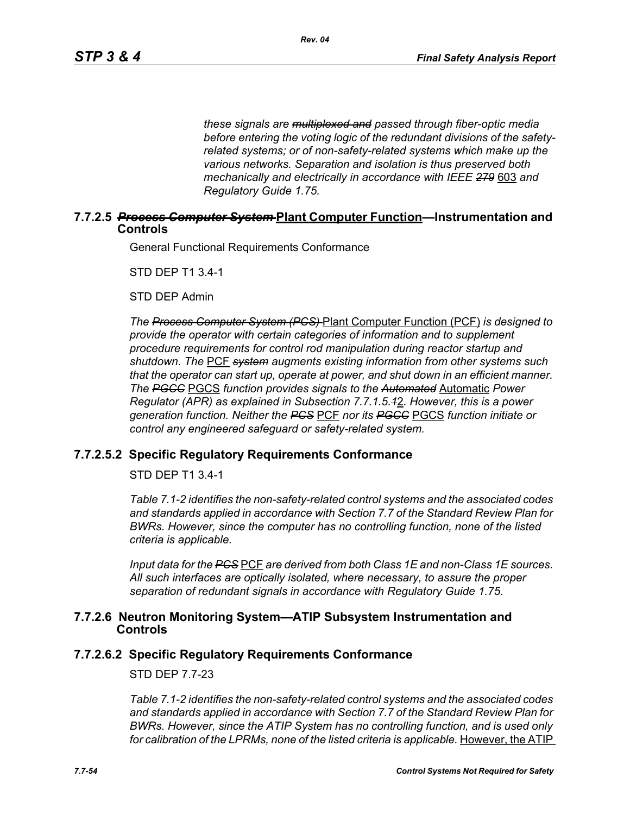*these signals are multiplexed and passed through fiber-optic media before entering the voting logic of the redundant divisions of the safetyrelated systems; or of non-safety-related systems which make up the various networks. Separation and isolation is thus preserved both mechanically and electrically in accordance with IEEE 279* 603 *and Regulatory Guide 1.75.*

## **7.7.2.5** *Process Computer System* **Plant Computer Function—Instrumentation and Controls**

General Functional Requirements Conformance

STD DEP T1 3.4-1

STD DEP Admin

*The Process Computer System (PCS)* Plant Computer Function (PCF) *is designed to provide the operator with certain categories of information and to supplement procedure requirements for control rod manipulation during reactor startup and shutdown. The* PCF *system augments existing information from other systems such that the operator can start up, operate at power, and shut down in an efficient manner. The PGCC* PGCS *function provides signals to the Automated* Automatic *Power Regulator (APR) as explained in Subsection 7.7.1.5.1*2*. However, this is a power generation function. Neither the PCS* PCF *nor its PGCC* PGCS *function initiate or control any engineered safeguard or safety-related system.*

# **7.7.2.5.2 Specific Regulatory Requirements Conformance**

STD DEP T1 3.4-1

*Table 7.1-2 identifies the non-safety-related control systems and the associated codes and standards applied in accordance with Section 7.7 of the Standard Review Plan for BWRs. However, since the computer has no controlling function, none of the listed criteria is applicable.*

*Input data for the PCS* PCF *are derived from both Class 1E and non-Class 1E sources. All such interfaces are optically isolated, where necessary, to assure the proper separation of redundant signals in accordance with Regulatory Guide 1.75.*

### **7.7.2.6 Neutron Monitoring System—ATIP Subsystem Instrumentation and Controls**

## **7.7.2.6.2 Specific Regulatory Requirements Conformance**

STD DEP 7.7-23

*Table 7.1-2 identifies the non-safety-related control systems and the associated codes and standards applied in accordance with Section 7.7 of the Standard Review Plan for BWRs. However, since the ATIP System has no controlling function, and is used only*  for calibration of the LPRMs, none of the listed criteria is applicable. However, the ATIP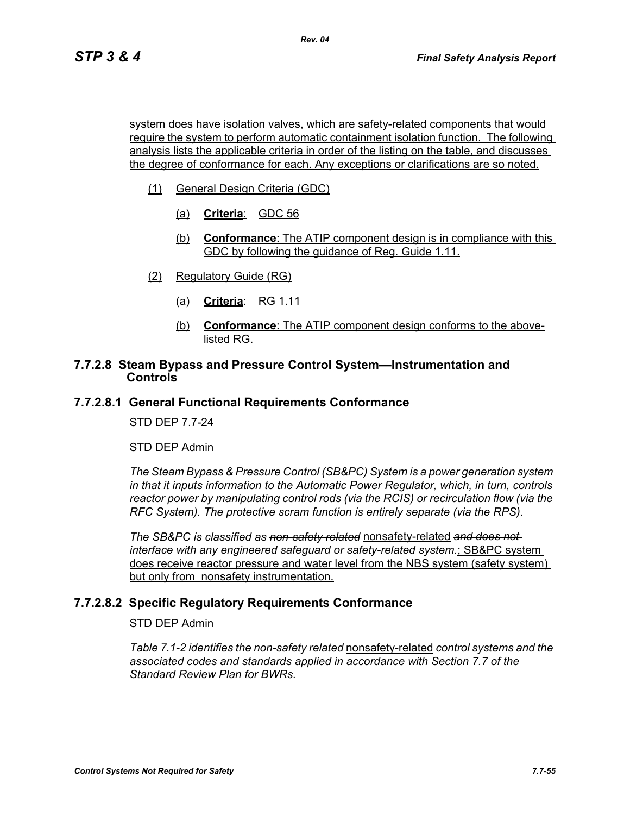system does have isolation valves, which are safety-related components that would require the system to perform automatic containment isolation function. The following analysis lists the applicable criteria in order of the listing on the table, and discusses the degree of conformance for each. Any exceptions or clarifications are so noted.

- (1) General Design Criteria (GDC)
	- (a) **Criteria**: GDC 56
	- (b) **Conformance**: The ATIP component design is in compliance with this GDC by following the guidance of Reg. Guide 1.11.
- (2) Regulatory Guide (RG)
	- (a) **Criteria**: RG 1.11
	- (b) **Conformance**: The ATIP component design conforms to the abovelisted RG.

## **7.7.2.8 Steam Bypass and Pressure Control System—Instrumentation and Controls**

## **7.7.2.8.1 General Functional Requirements Conformance**

STD DEP 7.7-24

STD DEP Admin

*The Steam Bypass & Pressure Control (SB&PC) System is a power generation system in that it inputs information to the Automatic Power Regulator, which, in turn, controls reactor power by manipulating control rods (via the RCIS) or recirculation flow (via the RFC System). The protective scram function is entirely separate (via the RPS).*

*The SB&PC is classified as non-safety related* nonsafety-related *and does not interface with any engineered safeguard or safety-related system.*; SB&PC system does receive reactor pressure and water level from the NBS system (safety system) but only from nonsafety instrumentation.

# **7.7.2.8.2 Specific Regulatory Requirements Conformance**

STD DEP Admin

*Table 7.1-2 identifies the non-safety related* nonsafety-related *control systems and the associated codes and standards applied in accordance with Section 7.7 of the Standard Review Plan for BWRs.*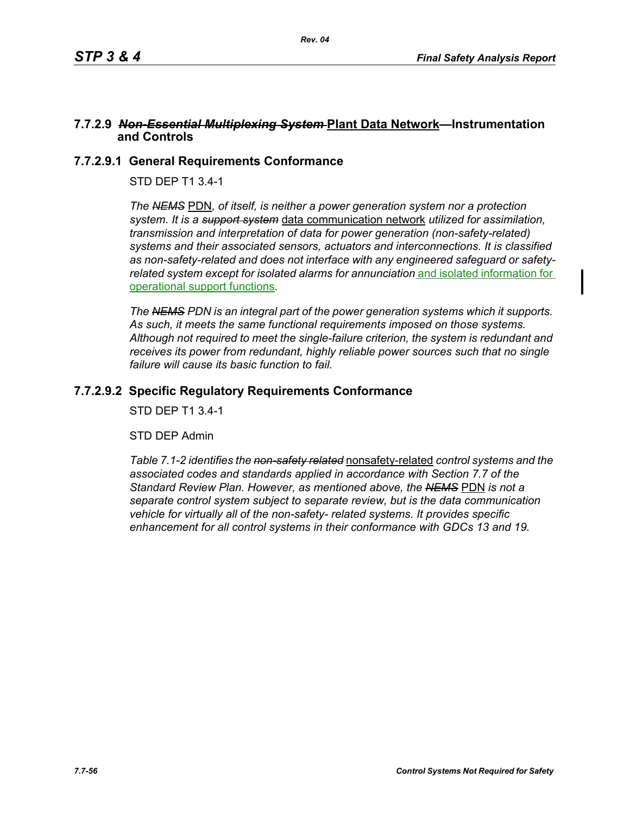## **7.7.2.9** *Non-Essential Multiplexing System* **Plant Data Network—Instrumentation and Controls**

# **7.7.2.9.1 General Requirements Conformance**

STD DEP T1 3.4-1

*The NEMS* PDN*, of itself, is neither a power generation system nor a protection system. It is a support system* data communication network *utilized for assimilation, transmission and interpretation of data for power generation (non-safety-related) systems and their associated sensors, actuators and interconnections. It is classified as non-safety-related and does not interface with any engineered safeguard or safetyrelated system except for isolated alarms for annunciation* and isolated information for operational support functions*.*

*The NEMS PDN is an integral part of the power generation systems which it supports. As such, it meets the same functional requirements imposed on those systems. Although not required to meet the single-failure criterion, the system is redundant and receives its power from redundant, highly reliable power sources such that no single failure will cause its basic function to fail.*

# **7.7.2.9.2 Specific Regulatory Requirements Conformance**

STD DEP T1 3.4-1

STD DEP Admin

*Table 7.1-2 identifies the non-safety related* nonsafety-related *control systems and the associated codes and standards applied in accordance with Section 7.7 of the Standard Review Plan. However, as mentioned above, the NEMS* PDN *is not a separate control system subject to separate review, but is the data communication vehicle for virtually all of the non-safety- related systems. It provides specific enhancement for all control systems in their conformance with GDCs 13 and 19.*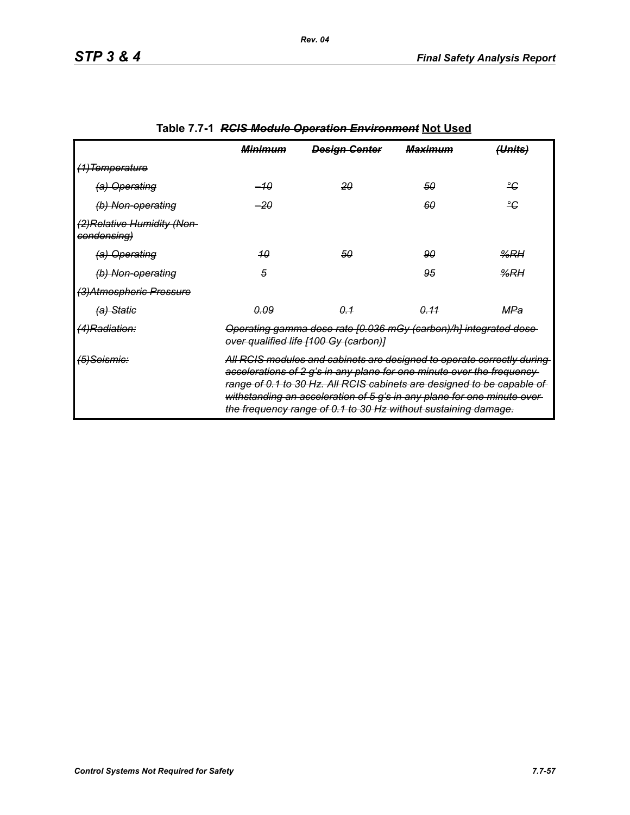|                                            | <del>Minimum</del>                                                                                                                                                                                                                                                                                                                                                      | <b>Design Genter</b> | <del>Maximum</del> | <del>(Units)</del> |
|--------------------------------------------|-------------------------------------------------------------------------------------------------------------------------------------------------------------------------------------------------------------------------------------------------------------------------------------------------------------------------------------------------------------------------|----------------------|--------------------|--------------------|
| <del>(1)Temperature</del>                  |                                                                                                                                                                                                                                                                                                                                                                         |                      |                    |                    |
| (a) Operating                              | –10                                                                                                                                                                                                                                                                                                                                                                     | 20                   | 50                 | ீ                  |
| (b) Non-operating                          | $-20$                                                                                                                                                                                                                                                                                                                                                                   |                      | 60                 | ீ                  |
| (2) Relative Humidity (Non-<br>condensing) |                                                                                                                                                                                                                                                                                                                                                                         |                      |                    |                    |
| (a) Operating                              | 40                                                                                                                                                                                                                                                                                                                                                                      | 50                   | 90                 | $\frac{9}{6}$ RH   |
| (b) Non-operating                          | 5                                                                                                                                                                                                                                                                                                                                                                       |                      | 95                 | %RH                |
| (3) Atmospheric Pressure                   |                                                                                                                                                                                                                                                                                                                                                                         |                      |                    |                    |
| <del>(a) Static</del>                      | <u>0.09</u>                                                                                                                                                                                                                                                                                                                                                             | 0.1                  | <u>0.11</u>        | MPa                |
| <del>(4)Radiation:</del>                   | Operating gamma dose rate [0.036 mGy (carbon)/h] integrated dose-<br>over qualified life [100 Gy (carbon)]                                                                                                                                                                                                                                                              |                      |                    |                    |
| <del>(5)Seismic:</del>                     | All RCIS modules and cabinets are designed to operate correctly during<br>accelerations of 2 g's in any plane for one minute over the frequency-<br>range of 0.1 to 30 Hz. All RCIS cabinets are designed to be capable of<br>withstanding an acceleration of 5 g's in any plane for one minute over-<br>the frequency range of 0.1 to 30 Hz without sustaining damage. |                      |                    |                    |

# **Table 7.7-1** *RCIS Module Operation Environment* **Not Used**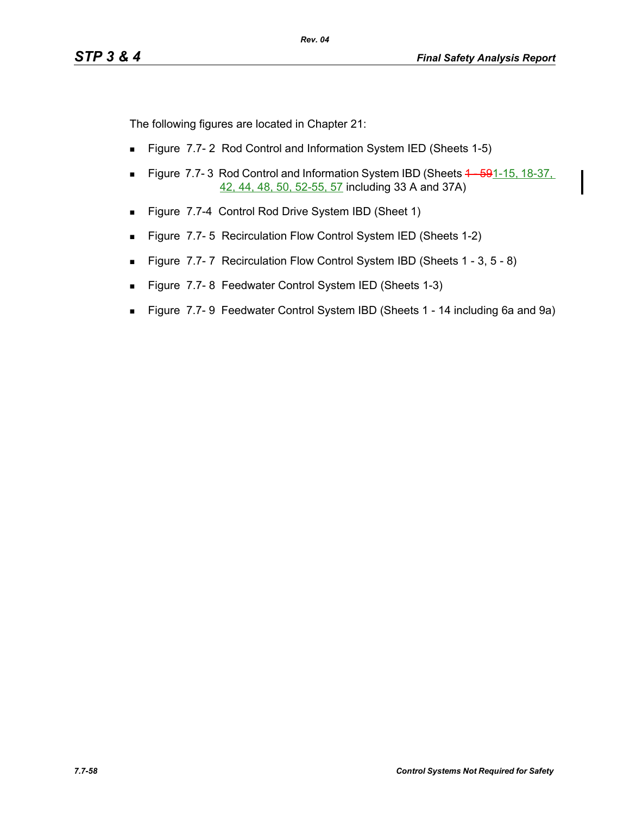The following figures are located in Chapter 21:

- **Figure 7.7-2 Rod Control and Information System IED (Sheets 1-5)**
- Figure 7.7-3 Rod Control and Information System IBD (Sheets 4 591-15, 18-37, 42, 44, 48, 50, 52-55, 57 including 33 A and 37A)
- Figure 7.7-4 Control Rod Drive System IBD (Sheet 1)
- **Figure 7.7-5 Recirculation Flow Control System IED (Sheets 1-2)**
- Figure 7.7-7 Recirculation Flow Control System IBD (Sheets 1 3, 5 8)
- Figure 7.7-8 Feedwater Control System IED (Sheets 1-3)
- Figure 7.7- 9 Feedwater Control System IBD (Sheets 1 14 including 6a and 9a)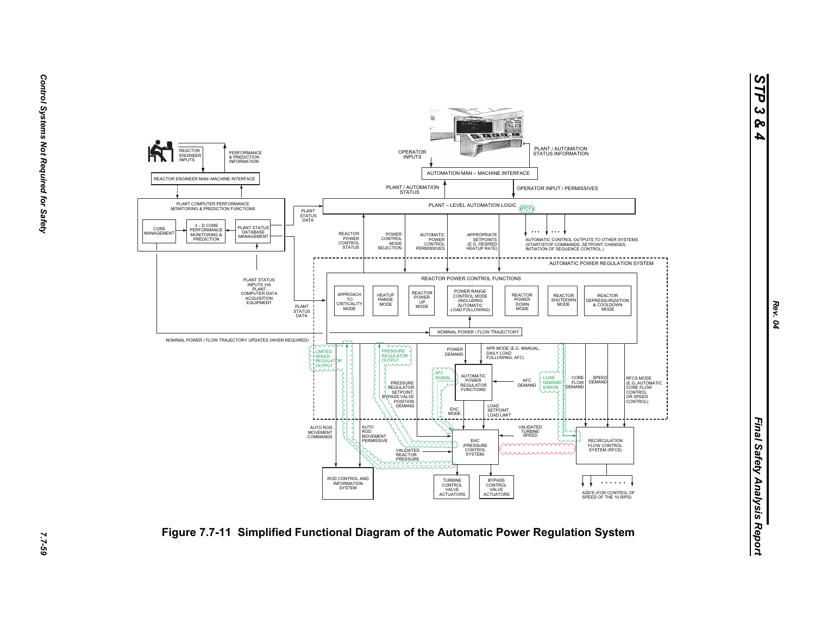

2.7-59

*STP 3 & 4*